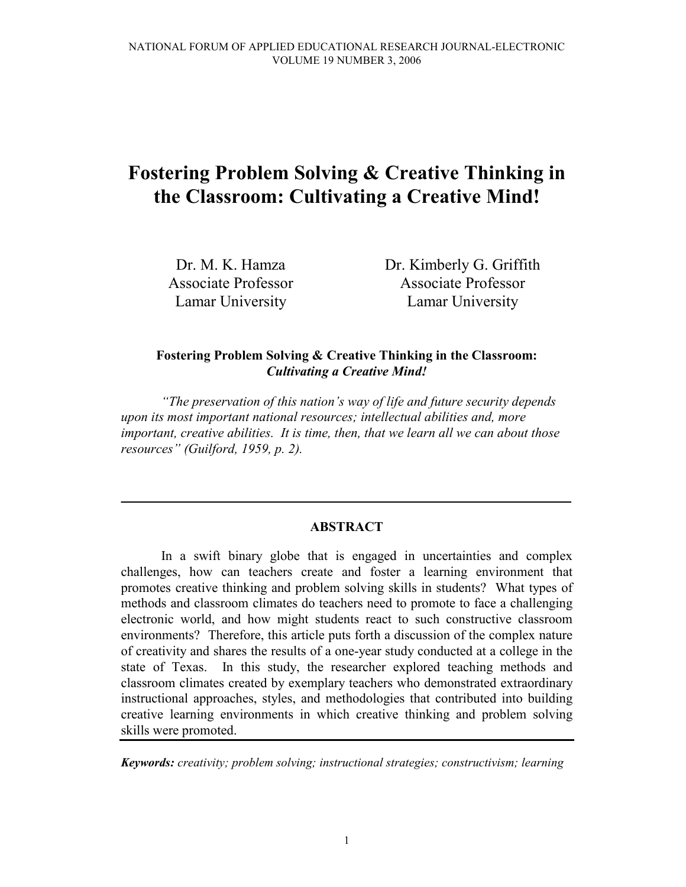# Fostering Problem Solving & Creative Thinking in the Classroom: Cultivating a Creative Mind!

Dr. M. K. Hamza Associate Professor Lamar University

Dr. Kimberly G. Griffith Associate Professor Lamar University

# Fostering Problem Solving & Creative Thinking in the Classroom: Cultivating a Creative Mind!

"The preservation of this nation's way of life and future security depends upon its most important national resources; intellectual abilities and, more important, creative abilities. It is time, then, that we learn all we can about those resources" (Guilford, 1959, p. 2).

### ABSTRACT

\_\_\_\_\_\_\_\_\_\_\_\_\_\_\_\_\_\_\_\_\_\_\_\_\_\_\_\_\_\_\_\_\_\_\_\_\_\_\_\_\_\_\_\_\_\_\_\_\_\_\_\_\_\_\_\_\_\_\_\_\_\_\_\_\_\_\_

 In a swift binary globe that is engaged in uncertainties and complex challenges, how can teachers create and foster a learning environment that promotes creative thinking and problem solving skills in students? What types of methods and classroom climates do teachers need to promote to face a challenging electronic world, and how might students react to such constructive classroom environments? Therefore, this article puts forth a discussion of the complex nature of creativity and shares the results of a one-year study conducted at a college in the state of Texas. In this study, the researcher explored teaching methods and classroom climates created by exemplary teachers who demonstrated extraordinary instructional approaches, styles, and methodologies that contributed into building creative learning environments in which creative thinking and problem solving skills were promoted.

Keywords: creativity; problem solving; instructional strategies; constructivism; learning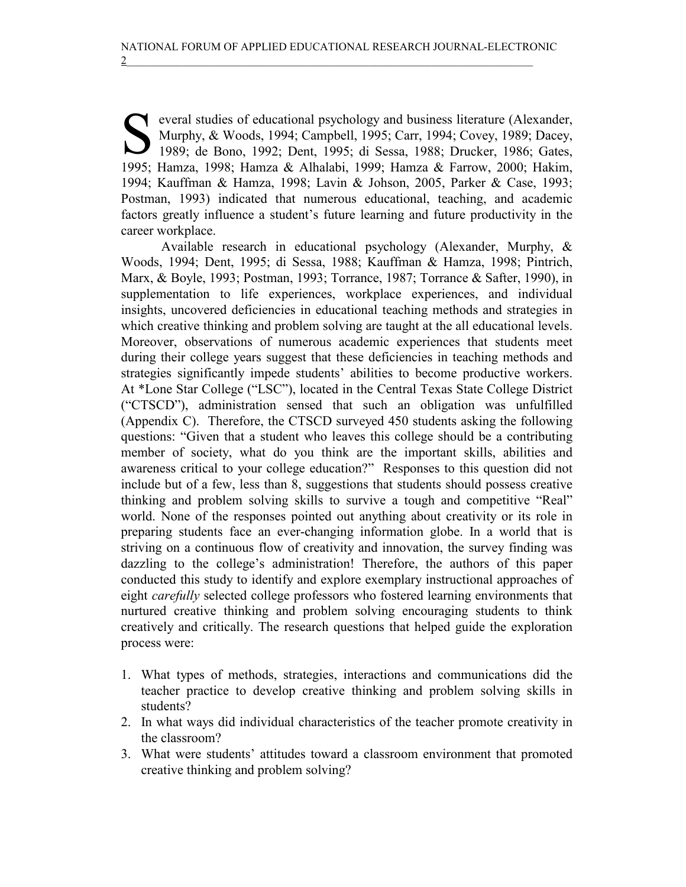everal studies of educational psychology and business literature (Alexander, Murphy, & Woods, 1994; Campbell, 1995; Carr, 1994; Covey, 1989; Dacey, 1989; de Bono, 1992; Dent, 1995; di Sessa, 1988; Drucker, 1986; Gates, 199 Murphy, & Woods, 1994; Campbell, 1995; Carr, 1994; Covey, 1989; Dacey, 1989; de Bono, 1992; Dent, 1995; di Sessa, 1988; Drucker, 1986; Gates, 1995; Hamza, 1998; Hamza & Alhalabi, 1999; Hamza & Farrow, 2000; Hakim, 1994; Kauffman & Hamza, 1998; Lavin & Johson, 2005, Parker & Case, 1993; Postman, 1993) indicated that numerous educational, teaching, and academic factors greatly influence a student's future learning and future productivity in the career workplace.

 Available research in educational psychology (Alexander, Murphy, & Woods, 1994; Dent, 1995; di Sessa, 1988; Kauffman & Hamza, 1998; Pintrich, Marx, & Boyle, 1993; Postman, 1993; Torrance, 1987; Torrance & Safter, 1990), in supplementation to life experiences, workplace experiences, and individual insights, uncovered deficiencies in educational teaching methods and strategies in which creative thinking and problem solving are taught at the all educational levels. Moreover, observations of numerous academic experiences that students meet during their college years suggest that these deficiencies in teaching methods and strategies significantly impede students' abilities to become productive workers. At \*Lone Star College ("LSC"), located in the Central Texas State College District ("CTSCD"), administration sensed that such an obligation was unfulfilled (Appendix C). Therefore, the CTSCD surveyed 450 students asking the following questions: "Given that a student who leaves this college should be a contributing member of society, what do you think are the important skills, abilities and awareness critical to your college education?" Responses to this question did not include but of a few, less than 8, suggestions that students should possess creative thinking and problem solving skills to survive a tough and competitive "Real" world. None of the responses pointed out anything about creativity or its role in preparing students face an ever-changing information globe. In a world that is striving on a continuous flow of creativity and innovation, the survey finding was dazzling to the college's administration! Therefore, the authors of this paper conducted this study to identify and explore exemplary instructional approaches of eight carefully selected college professors who fostered learning environments that nurtured creative thinking and problem solving encouraging students to think creatively and critically. The research questions that helped guide the exploration process were:

- 1. What types of methods, strategies, interactions and communications did the teacher practice to develop creative thinking and problem solving skills in students?
- 2. In what ways did individual characteristics of the teacher promote creativity in the classroom?
- 3. What were students' attitudes toward a classroom environment that promoted creative thinking and problem solving?

2 and  $2$  and  $2$  and  $2$  and  $2$  and  $2$  and  $2$  and  $2$  and  $2$  and  $2$  and  $2$  and  $2$  and  $2$  and  $2$  and  $2$  and  $2$  and  $2$  and  $2$  and  $2$  and  $2$  and  $2$  and  $2$  and  $2$  and  $2$  and  $2$  and  $2$  and  $2$  and  $2$  and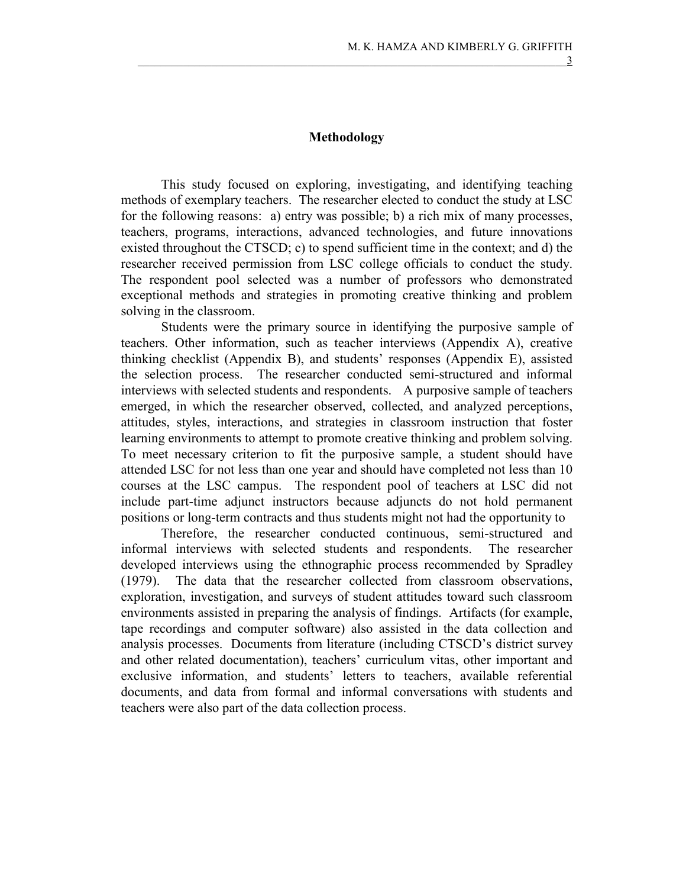### Methodology

This study focused on exploring, investigating, and identifying teaching methods of exemplary teachers. The researcher elected to conduct the study at LSC for the following reasons: a) entry was possible; b) a rich mix of many processes, teachers, programs, interactions, advanced technologies, and future innovations existed throughout the CTSCD; c) to spend sufficient time in the context; and d) the researcher received permission from LSC college officials to conduct the study. The respondent pool selected was a number of professors who demonstrated exceptional methods and strategies in promoting creative thinking and problem solving in the classroom.

 Students were the primary source in identifying the purposive sample of teachers. Other information, such as teacher interviews (Appendix A), creative thinking checklist (Appendix B), and students' responses (Appendix E), assisted the selection process. The researcher conducted semi-structured and informal interviews with selected students and respondents. A purposive sample of teachers emerged, in which the researcher observed, collected, and analyzed perceptions, attitudes, styles, interactions, and strategies in classroom instruction that foster learning environments to attempt to promote creative thinking and problem solving. To meet necessary criterion to fit the purposive sample, a student should have attended LSC for not less than one year and should have completed not less than 10 courses at the LSC campus. The respondent pool of teachers at LSC did not include part-time adjunct instructors because adjuncts do not hold permanent positions or long-term contracts and thus students might not had the opportunity to

Therefore, the researcher conducted continuous, semi-structured and informal interviews with selected students and respondents. The researcher developed interviews using the ethnographic process recommended by Spradley (1979). The data that the researcher collected from classroom observations, exploration, investigation, and surveys of student attitudes toward such classroom environments assisted in preparing the analysis of findings. Artifacts (for example, tape recordings and computer software) also assisted in the data collection and analysis processes. Documents from literature (including CTSCD's district survey and other related documentation), teachers' curriculum vitas, other important and exclusive information, and students' letters to teachers, available referential documents, and data from formal and informal conversations with students and teachers were also part of the data collection process.

 $\frac{3}{2}$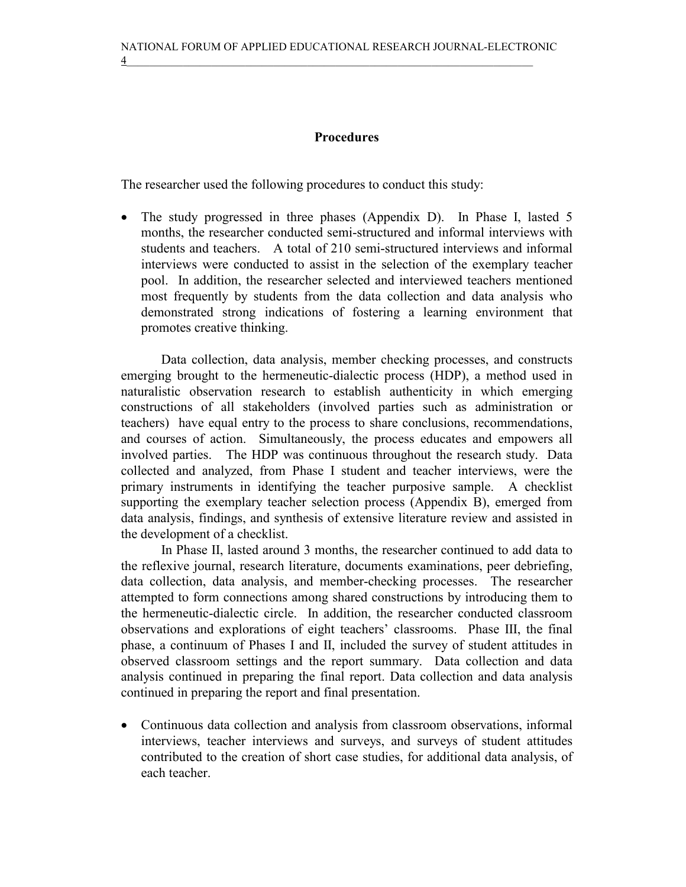# Procedures

The researcher used the following procedures to conduct this study:

• The study progressed in three phases (Appendix D). In Phase I, lasted 5 months, the researcher conducted semi-structured and informal interviews with students and teachers. A total of 210 semi-structured interviews and informal interviews were conducted to assist in the selection of the exemplary teacher pool. In addition, the researcher selected and interviewed teachers mentioned most frequently by students from the data collection and data analysis who demonstrated strong indications of fostering a learning environment that promotes creative thinking.

Data collection, data analysis, member checking processes, and constructs emerging brought to the hermeneutic-dialectic process (HDP), a method used in naturalistic observation research to establish authenticity in which emerging constructions of all stakeholders (involved parties such as administration or teachers) have equal entry to the process to share conclusions, recommendations, and courses of action. Simultaneously, the process educates and empowers all involved parties. The HDP was continuous throughout the research study. Data collected and analyzed, from Phase I student and teacher interviews, were the primary instruments in identifying the teacher purposive sample. A checklist supporting the exemplary teacher selection process (Appendix B), emerged from data analysis, findings, and synthesis of extensive literature review and assisted in the development of a checklist.

 In Phase II, lasted around 3 months, the researcher continued to add data to the reflexive journal, research literature, documents examinations, peer debriefing, data collection, data analysis, and member-checking processes. The researcher attempted to form connections among shared constructions by introducing them to the hermeneutic-dialectic circle. In addition, the researcher conducted classroom observations and explorations of eight teachers' classrooms. Phase III, the final phase, a continuum of Phases I and II, included the survey of student attitudes in observed classroom settings and the report summary. Data collection and data analysis continued in preparing the final report. Data collection and data analysis continued in preparing the report and final presentation.

• Continuous data collection and analysis from classroom observations, informal interviews, teacher interviews and surveys, and surveys of student attitudes contributed to the creation of short case studies, for additional data analysis, of each teacher.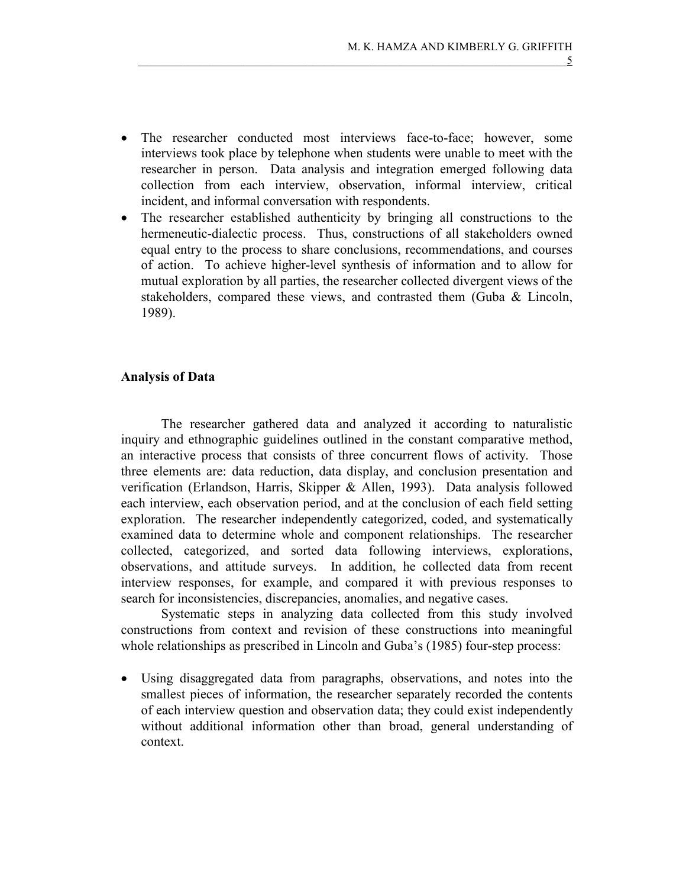- The researcher conducted most interviews face-to-face; however, some interviews took place by telephone when students were unable to meet with the researcher in person. Data analysis and integration emerged following data collection from each interview, observation, informal interview, critical incident, and informal conversation with respondents.
- The researcher established authenticity by bringing all constructions to the hermeneutic-dialectic process. Thus, constructions of all stakeholders owned equal entry to the process to share conclusions, recommendations, and courses of action. To achieve higher-level synthesis of information and to allow for mutual exploration by all parties, the researcher collected divergent views of the stakeholders, compared these views, and contrasted them (Guba & Lincoln, 1989).

# Analysis of Data

 The researcher gathered data and analyzed it according to naturalistic inquiry and ethnographic guidelines outlined in the constant comparative method, an interactive process that consists of three concurrent flows of activity. Those three elements are: data reduction, data display, and conclusion presentation and verification (Erlandson, Harris, Skipper & Allen, 1993). Data analysis followed each interview, each observation period, and at the conclusion of each field setting exploration. The researcher independently categorized, coded, and systematically examined data to determine whole and component relationships. The researcher collected, categorized, and sorted data following interviews, explorations, observations, and attitude surveys. In addition, he collected data from recent interview responses, for example, and compared it with previous responses to search for inconsistencies, discrepancies, anomalies, and negative cases.

 Systematic steps in analyzing data collected from this study involved constructions from context and revision of these constructions into meaningful whole relationships as prescribed in Lincoln and Guba's (1985) four-step process:

• Using disaggregated data from paragraphs, observations, and notes into the smallest pieces of information, the researcher separately recorded the contents of each interview question and observation data; they could exist independently without additional information other than broad, general understanding of context.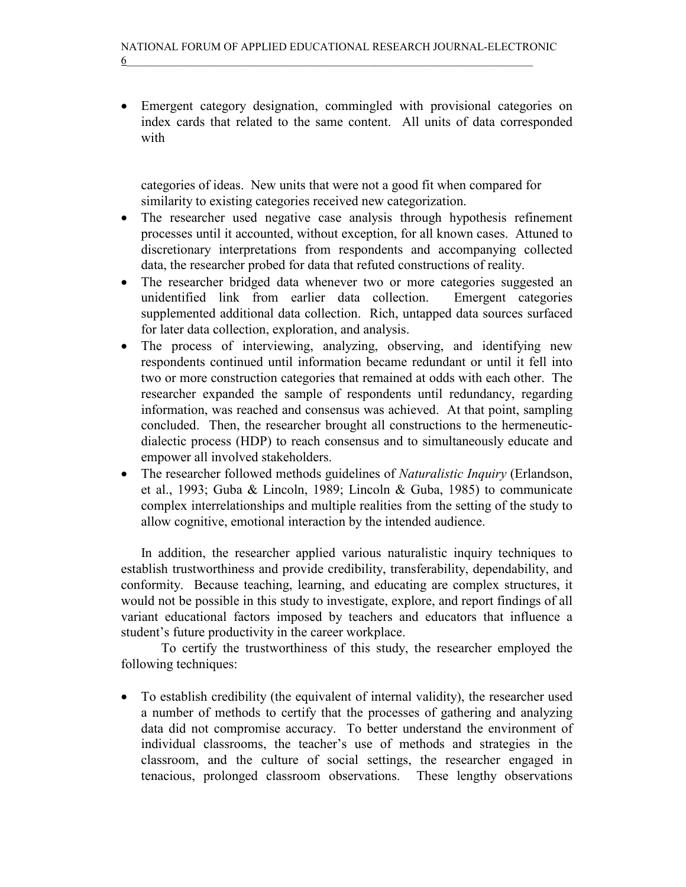• Emergent category designation, commingled with provisional categories on index cards that related to the same content. All units of data corresponded with

 categories of ideas. New units that were not a good fit when compared for similarity to existing categories received new categorization.

- The researcher used negative case analysis through hypothesis refinement processes until it accounted, without exception, for all known cases. Attuned to discretionary interpretations from respondents and accompanying collected data, the researcher probed for data that refuted constructions of reality.
- The researcher bridged data whenever two or more categories suggested an unidentified link from earlier data collection. Emergent categories supplemented additional data collection. Rich, untapped data sources surfaced for later data collection, exploration, and analysis.
- The process of interviewing, analyzing, observing, and identifying new respondents continued until information became redundant or until it fell into two or more construction categories that remained at odds with each other. The researcher expanded the sample of respondents until redundancy, regarding information, was reached and consensus was achieved. At that point, sampling concluded. Then, the researcher brought all constructions to the hermeneuticdialectic process (HDP) to reach consensus and to simultaneously educate and empower all involved stakeholders.
- The researcher followed methods guidelines of *Naturalistic Inquiry* (Erlandson, et al., 1993; Guba & Lincoln, 1989; Lincoln & Guba, 1985) to communicate complex interrelationships and multiple realities from the setting of the study to allow cognitive, emotional interaction by the intended audience.

In addition, the researcher applied various naturalistic inquiry techniques to establish trustworthiness and provide credibility, transferability, dependability, and conformity. Because teaching, learning, and educating are complex structures, it would not be possible in this study to investigate, explore, and report findings of all variant educational factors imposed by teachers and educators that influence a student's future productivity in the career workplace.

 To certify the trustworthiness of this study, the researcher employed the following techniques:

• To establish credibility (the equivalent of internal validity), the researcher used a number of methods to certify that the processes of gathering and analyzing data did not compromise accuracy. To better understand the environment of individual classrooms, the teacher's use of methods and strategies in the classroom, and the culture of social settings, the researcher engaged in tenacious, prolonged classroom observations. These lengthy observations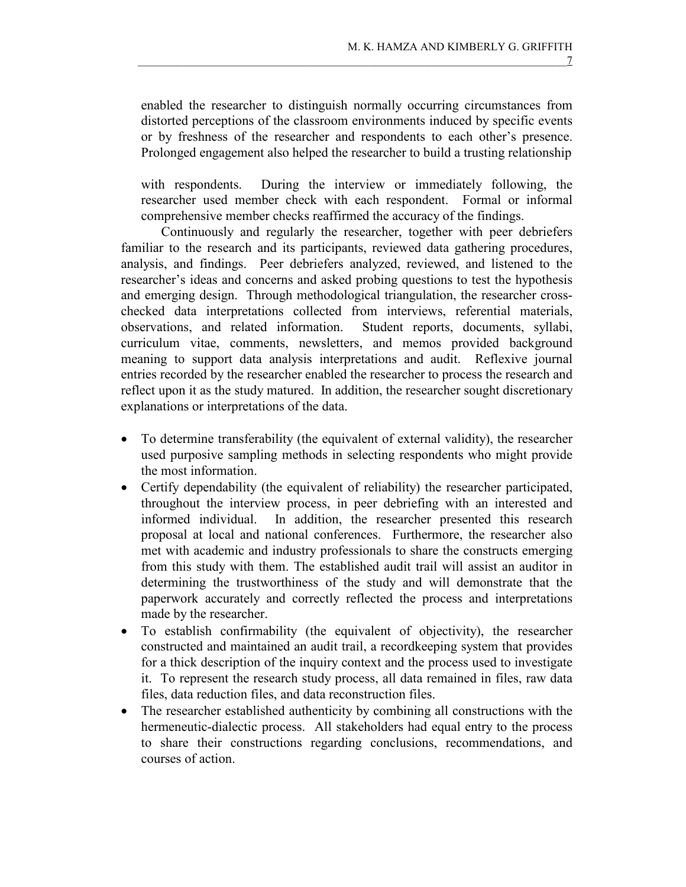enabled the researcher to distinguish normally occurring circumstances from distorted perceptions of the classroom environments induced by specific events or by freshness of the researcher and respondents to each other's presence. Prolonged engagement also helped the researcher to build a trusting relationship

 with respondents. During the interview or immediately following, the researcher used member check with each respondent. Formal or informal comprehensive member checks reaffirmed the accuracy of the findings.

 Continuously and regularly the researcher, together with peer debriefers familiar to the research and its participants, reviewed data gathering procedures, analysis, and findings. Peer debriefers analyzed, reviewed, and listened to the researcher's ideas and concerns and asked probing questions to test the hypothesis and emerging design. Through methodological triangulation, the researcher crosschecked data interpretations collected from interviews, referential materials, observations, and related information. Student reports, documents, syllabi, curriculum vitae, comments, newsletters, and memos provided background meaning to support data analysis interpretations and audit. Reflexive journal entries recorded by the researcher enabled the researcher to process the research and reflect upon it as the study matured. In addition, the researcher sought discretionary explanations or interpretations of the data.

- To determine transferability (the equivalent of external validity), the researcher used purposive sampling methods in selecting respondents who might provide the most information.
- Certify dependability (the equivalent of reliability) the researcher participated, throughout the interview process, in peer debriefing with an interested and informed individual. In addition, the researcher presented this research proposal at local and national conferences. Furthermore, the researcher also met with academic and industry professionals to share the constructs emerging from this study with them. The established audit trail will assist an auditor in determining the trustworthiness of the study and will demonstrate that the paperwork accurately and correctly reflected the process and interpretations made by the researcher.
- To establish confirmability (the equivalent of objectivity), the researcher constructed and maintained an audit trail, a recordkeeping system that provides for a thick description of the inquiry context and the process used to investigate it. To represent the research study process, all data remained in files, raw data files, data reduction files, and data reconstruction files.
- The researcher established authenticity by combining all constructions with the hermeneutic-dialectic process. All stakeholders had equal entry to the process to share their constructions regarding conclusions, recommendations, and courses of action.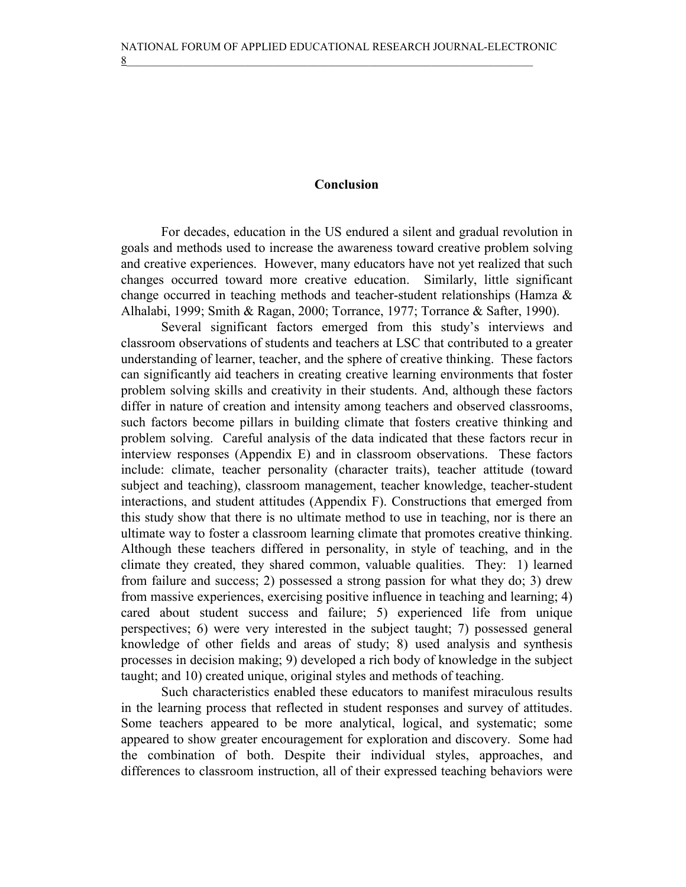# Conclusion

 For decades, education in the US endured a silent and gradual revolution in goals and methods used to increase the awareness toward creative problem solving and creative experiences. However, many educators have not yet realized that such changes occurred toward more creative education. Similarly, little significant change occurred in teaching methods and teacher-student relationships (Hamza & Alhalabi, 1999; Smith & Ragan, 2000; Torrance, 1977; Torrance & Safter, 1990).

 Several significant factors emerged from this study's interviews and classroom observations of students and teachers at LSC that contributed to a greater understanding of learner, teacher, and the sphere of creative thinking. These factors can significantly aid teachers in creating creative learning environments that foster problem solving skills and creativity in their students. And, although these factors differ in nature of creation and intensity among teachers and observed classrooms, such factors become pillars in building climate that fosters creative thinking and problem solving. Careful analysis of the data indicated that these factors recur in interview responses (Appendix E) and in classroom observations. These factors include: climate, teacher personality (character traits), teacher attitude (toward subject and teaching), classroom management, teacher knowledge, teacher-student interactions, and student attitudes (Appendix F). Constructions that emerged from this study show that there is no ultimate method to use in teaching, nor is there an ultimate way to foster a classroom learning climate that promotes creative thinking. Although these teachers differed in personality, in style of teaching, and in the climate they created, they shared common, valuable qualities. They: 1) learned from failure and success; 2) possessed a strong passion for what they do; 3) drew from massive experiences, exercising positive influence in teaching and learning; 4) cared about student success and failure; 5) experienced life from unique perspectives; 6) were very interested in the subject taught; 7) possessed general knowledge of other fields and areas of study; 8) used analysis and synthesis processes in decision making; 9) developed a rich body of knowledge in the subject taught; and 10) created unique, original styles and methods of teaching.

 Such characteristics enabled these educators to manifest miraculous results in the learning process that reflected in student responses and survey of attitudes. Some teachers appeared to be more analytical, logical, and systematic; some appeared to show greater encouragement for exploration and discovery. Some had the combination of both. Despite their individual styles, approaches, and differences to classroom instruction, all of their expressed teaching behaviors were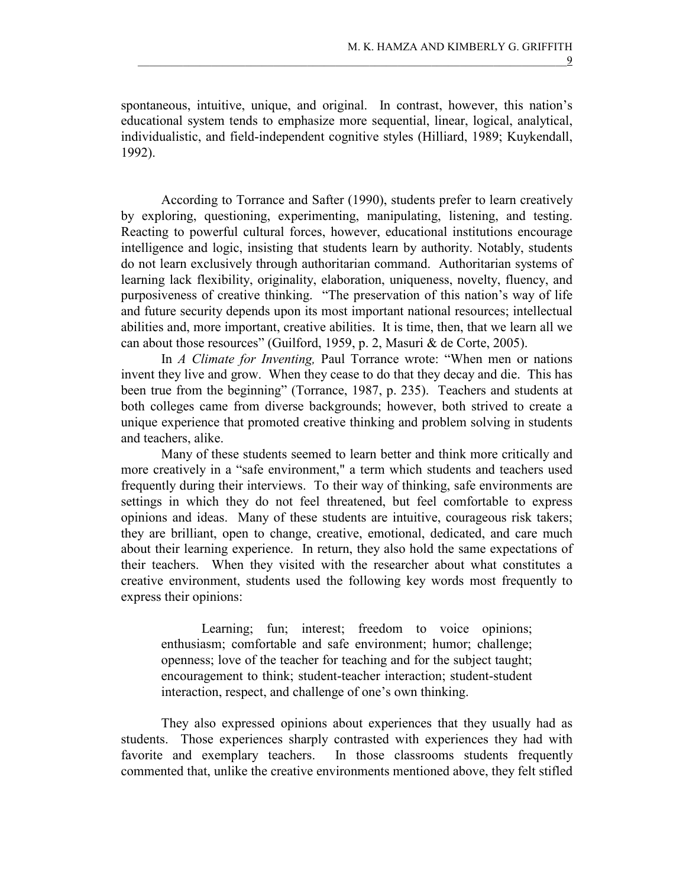spontaneous, intuitive, unique, and original. In contrast, however, this nation's educational system tends to emphasize more sequential, linear, logical, analytical, individualistic, and field-independent cognitive styles (Hilliard, 1989; Kuykendall, 1992).

 According to Torrance and Safter (1990), students prefer to learn creatively by exploring, questioning, experimenting, manipulating, listening, and testing. Reacting to powerful cultural forces, however, educational institutions encourage intelligence and logic, insisting that students learn by authority. Notably, students do not learn exclusively through authoritarian command. Authoritarian systems of learning lack flexibility, originality, elaboration, uniqueness, novelty, fluency, and purposiveness of creative thinking. "The preservation of this nation's way of life and future security depends upon its most important national resources; intellectual abilities and, more important, creative abilities. It is time, then, that we learn all we can about those resources" (Guilford, 1959, p. 2, Masuri & de Corte, 2005).

In A Climate for Inventing, Paul Torrance wrote: "When men or nations" invent they live and grow. When they cease to do that they decay and die. This has been true from the beginning" (Torrance, 1987, p. 235). Teachers and students at both colleges came from diverse backgrounds; however, both strived to create a unique experience that promoted creative thinking and problem solving in students and teachers, alike.

 Many of these students seemed to learn better and think more critically and more creatively in a "safe environment," a term which students and teachers used frequently during their interviews. To their way of thinking, safe environments are settings in which they do not feel threatened, but feel comfortable to express opinions and ideas. Many of these students are intuitive, courageous risk takers; they are brilliant, open to change, creative, emotional, dedicated, and care much about their learning experience. In return, they also hold the same expectations of their teachers. When they visited with the researcher about what constitutes a creative environment, students used the following key words most frequently to express their opinions:

Learning; fun; interest; freedom to voice opinions; enthusiasm; comfortable and safe environment; humor; challenge; openness; love of the teacher for teaching and for the subject taught; encouragement to think; student-teacher interaction; student-student interaction, respect, and challenge of one's own thinking.

They also expressed opinions about experiences that they usually had as students. Those experiences sharply contrasted with experiences they had with favorite and exemplary teachers. In those classrooms students frequently commented that, unlike the creative environments mentioned above, they felt stifled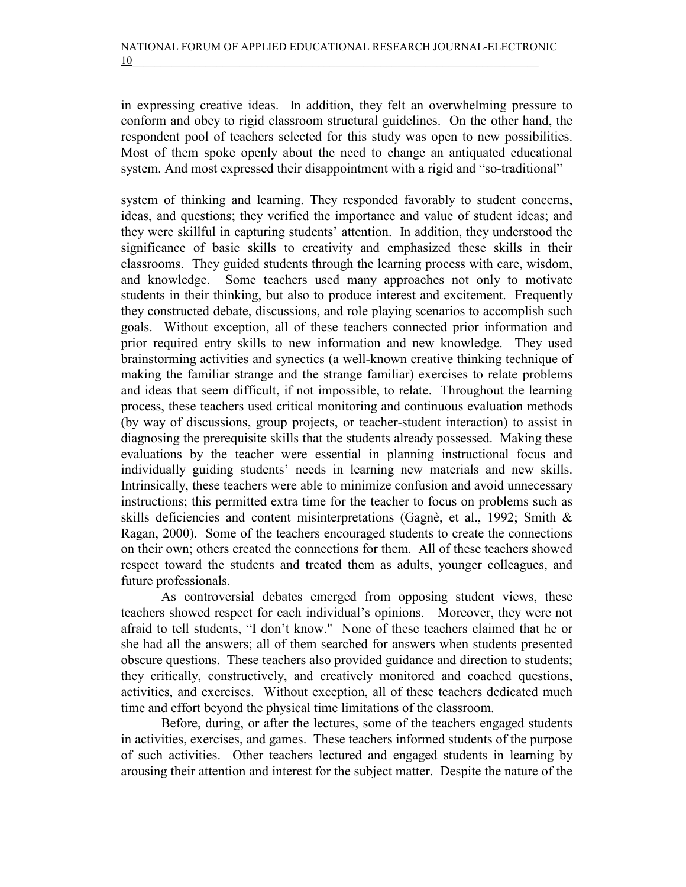in expressing creative ideas. In addition, they felt an overwhelming pressure to conform and obey to rigid classroom structural guidelines. On the other hand, the respondent pool of teachers selected for this study was open to new possibilities. Most of them spoke openly about the need to change an antiquated educational system. And most expressed their disappointment with a rigid and "so-traditional"

system of thinking and learning. They responded favorably to student concerns, ideas, and questions; they verified the importance and value of student ideas; and they were skillful in capturing students' attention. In addition, they understood the significance of basic skills to creativity and emphasized these skills in their classrooms. They guided students through the learning process with care, wisdom, and knowledge. Some teachers used many approaches not only to motivate students in their thinking, but also to produce interest and excitement. Frequently they constructed debate, discussions, and role playing scenarios to accomplish such goals. Without exception, all of these teachers connected prior information and prior required entry skills to new information and new knowledge. They used brainstorming activities and synectics (a well-known creative thinking technique of making the familiar strange and the strange familiar) exercises to relate problems and ideas that seem difficult, if not impossible, to relate. Throughout the learning process, these teachers used critical monitoring and continuous evaluation methods (by way of discussions, group projects, or teacher-student interaction) to assist in diagnosing the prerequisite skills that the students already possessed. Making these evaluations by the teacher were essential in planning instructional focus and individually guiding students' needs in learning new materials and new skills. Intrinsically, these teachers were able to minimize confusion and avoid unnecessary instructions; this permitted extra time for the teacher to focus on problems such as skills deficiencies and content misinterpretations (Gagnè, et al., 1992; Smith & Ragan, 2000). Some of the teachers encouraged students to create the connections on their own; others created the connections for them. All of these teachers showed respect toward the students and treated them as adults, younger colleagues, and future professionals.

 As controversial debates emerged from opposing student views, these teachers showed respect for each individual's opinions. Moreover, they were not afraid to tell students, "I don't know." None of these teachers claimed that he or she had all the answers; all of them searched for answers when students presented obscure questions. These teachers also provided guidance and direction to students; they critically, constructively, and creatively monitored and coached questions, activities, and exercises. Without exception, all of these teachers dedicated much time and effort beyond the physical time limitations of the classroom.

 Before, during, or after the lectures, some of the teachers engaged students in activities, exercises, and games. These teachers informed students of the purpose of such activities. Other teachers lectured and engaged students in learning by arousing their attention and interest for the subject matter. Despite the nature of the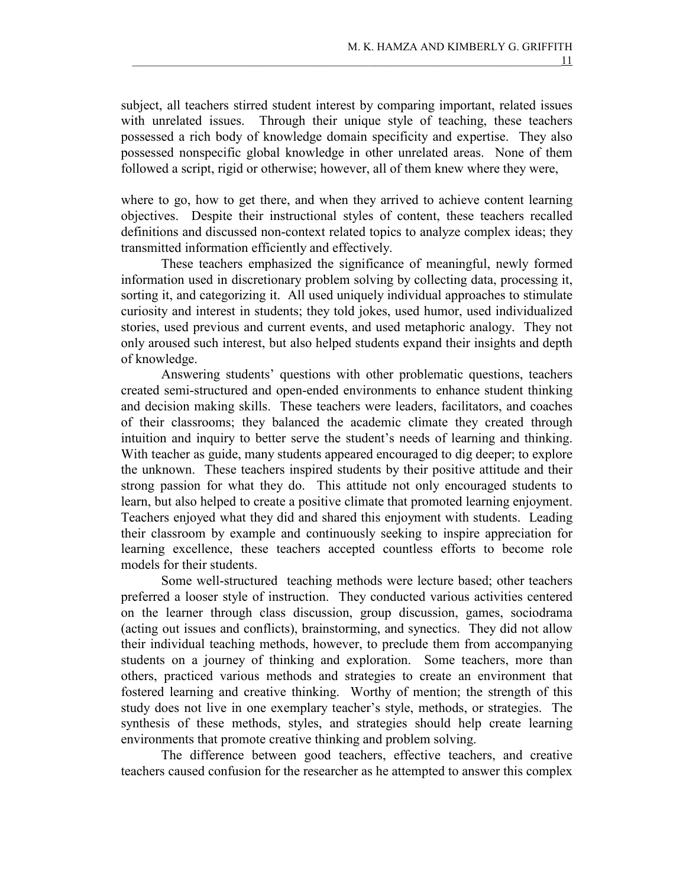subject, all teachers stirred student interest by comparing important, related issues with unrelated issues. Through their unique style of teaching, these teachers possessed a rich body of knowledge domain specificity and expertise. They also possessed nonspecific global knowledge in other unrelated areas. None of them followed a script, rigid or otherwise; however, all of them knew where they were,

where to go, how to get there, and when they arrived to achieve content learning objectives. Despite their instructional styles of content, these teachers recalled definitions and discussed non-context related topics to analyze complex ideas; they transmitted information efficiently and effectively.

 These teachers emphasized the significance of meaningful, newly formed information used in discretionary problem solving by collecting data, processing it, sorting it, and categorizing it. All used uniquely individual approaches to stimulate curiosity and interest in students; they told jokes, used humor, used individualized stories, used previous and current events, and used metaphoric analogy. They not only aroused such interest, but also helped students expand their insights and depth of knowledge.

 Answering students' questions with other problematic questions, teachers created semi-structured and open-ended environments to enhance student thinking and decision making skills. These teachers were leaders, facilitators, and coaches of their classrooms; they balanced the academic climate they created through intuition and inquiry to better serve the student's needs of learning and thinking. With teacher as guide, many students appeared encouraged to dig deeper; to explore the unknown. These teachers inspired students by their positive attitude and their strong passion for what they do. This attitude not only encouraged students to learn, but also helped to create a positive climate that promoted learning enjoyment. Teachers enjoyed what they did and shared this enjoyment with students. Leading their classroom by example and continuously seeking to inspire appreciation for learning excellence, these teachers accepted countless efforts to become role models for their students.

 Some well-structured teaching methods were lecture based; other teachers preferred a looser style of instruction. They conducted various activities centered on the learner through class discussion, group discussion, games, sociodrama (acting out issues and conflicts), brainstorming, and synectics. They did not allow their individual teaching methods, however, to preclude them from accompanying students on a journey of thinking and exploration. Some teachers, more than others, practiced various methods and strategies to create an environment that fostered learning and creative thinking. Worthy of mention; the strength of this study does not live in one exemplary teacher's style, methods, or strategies. The synthesis of these methods, styles, and strategies should help create learning environments that promote creative thinking and problem solving.

 The difference between good teachers, effective teachers, and creative teachers caused confusion for the researcher as he attempted to answer this complex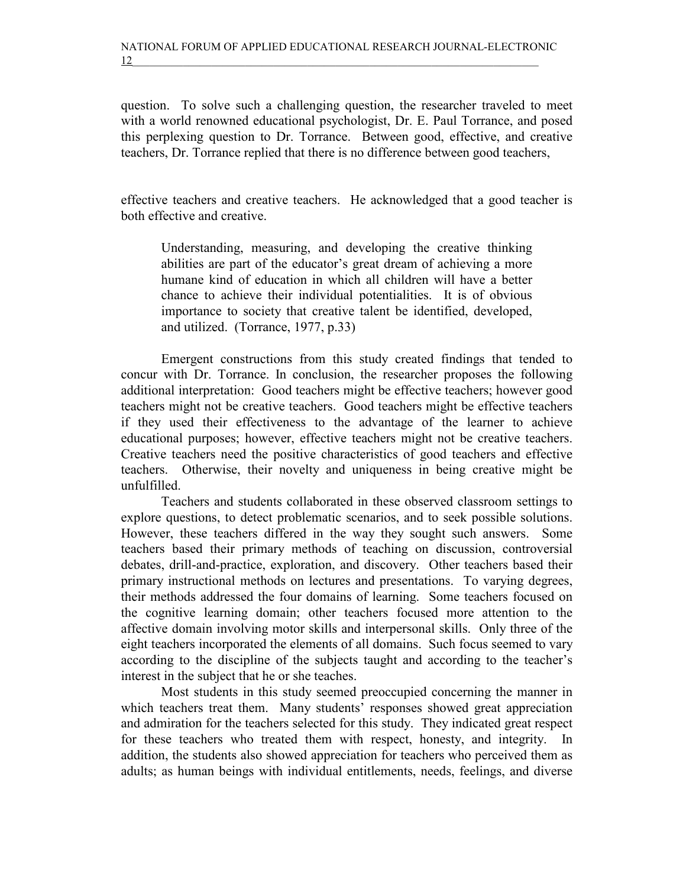question. To solve such a challenging question, the researcher traveled to meet with a world renowned educational psychologist, Dr. E. Paul Torrance, and posed this perplexing question to Dr. Torrance. Between good, effective, and creative teachers, Dr. Torrance replied that there is no difference between good teachers,

effective teachers and creative teachers. He acknowledged that a good teacher is both effective and creative.

Understanding, measuring, and developing the creative thinking abilities are part of the educator's great dream of achieving a more humane kind of education in which all children will have a better chance to achieve their individual potentialities. It is of obvious importance to society that creative talent be identified, developed, and utilized. (Torrance, 1977, p.33)

Emergent constructions from this study created findings that tended to concur with Dr. Torrance. In conclusion, the researcher proposes the following additional interpretation: Good teachers might be effective teachers; however good teachers might not be creative teachers. Good teachers might be effective teachers if they used their effectiveness to the advantage of the learner to achieve educational purposes; however, effective teachers might not be creative teachers. Creative teachers need the positive characteristics of good teachers and effective teachers. Otherwise, their novelty and uniqueness in being creative might be unfulfilled.

 Teachers and students collaborated in these observed classroom settings to explore questions, to detect problematic scenarios, and to seek possible solutions. However, these teachers differed in the way they sought such answers. Some teachers based their primary methods of teaching on discussion, controversial debates, drill-and-practice, exploration, and discovery. Other teachers based their primary instructional methods on lectures and presentations. To varying degrees, their methods addressed the four domains of learning. Some teachers focused on the cognitive learning domain; other teachers focused more attention to the affective domain involving motor skills and interpersonal skills. Only three of the eight teachers incorporated the elements of all domains. Such focus seemed to vary according to the discipline of the subjects taught and according to the teacher's interest in the subject that he or she teaches.

 Most students in this study seemed preoccupied concerning the manner in which teachers treat them. Many students' responses showed great appreciation and admiration for the teachers selected for this study. They indicated great respect for these teachers who treated them with respect, honesty, and integrity. In addition, the students also showed appreciation for teachers who perceived them as adults; as human beings with individual entitlements, needs, feelings, and diverse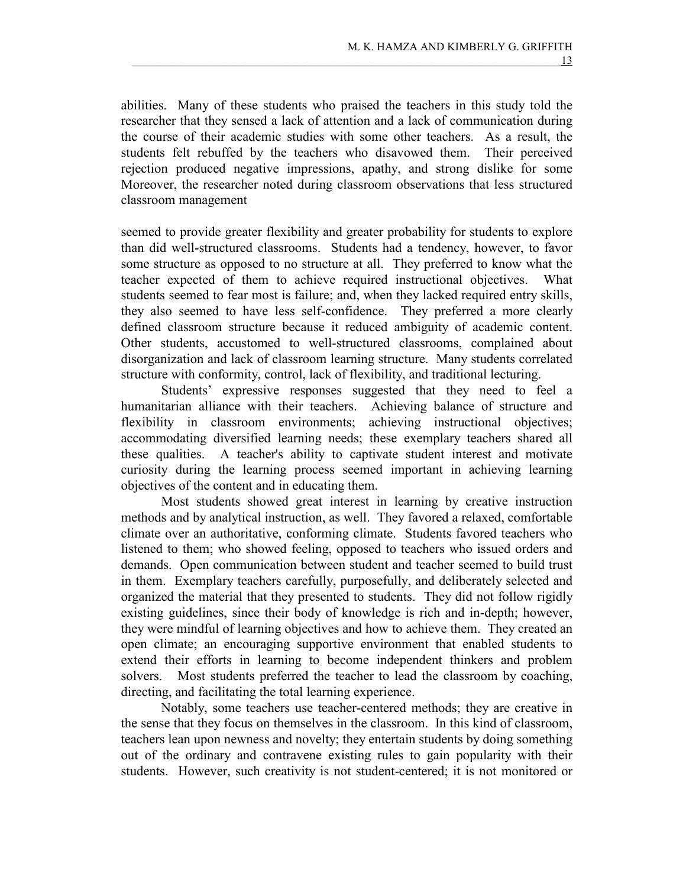abilities. Many of these students who praised the teachers in this study told the researcher that they sensed a lack of attention and a lack of communication during the course of their academic studies with some other teachers. As a result, the students felt rebuffed by the teachers who disavowed them. Their perceived rejection produced negative impressions, apathy, and strong dislike for some Moreover, the researcher noted during classroom observations that less structured classroom management

seemed to provide greater flexibility and greater probability for students to explore than did well-structured classrooms. Students had a tendency, however, to favor some structure as opposed to no structure at all. They preferred to know what the teacher expected of them to achieve required instructional objectives. What students seemed to fear most is failure; and, when they lacked required entry skills, they also seemed to have less self-confidence. They preferred a more clearly defined classroom structure because it reduced ambiguity of academic content. Other students, accustomed to well-structured classrooms, complained about disorganization and lack of classroom learning structure. Many students correlated structure with conformity, control, lack of flexibility, and traditional lecturing.

 Students' expressive responses suggested that they need to feel a humanitarian alliance with their teachers. Achieving balance of structure and flexibility in classroom environments; achieving instructional objectives; accommodating diversified learning needs; these exemplary teachers shared all these qualities. A teacher's ability to captivate student interest and motivate curiosity during the learning process seemed important in achieving learning objectives of the content and in educating them.

 Most students showed great interest in learning by creative instruction methods and by analytical instruction, as well. They favored a relaxed, comfortable climate over an authoritative, conforming climate. Students favored teachers who listened to them; who showed feeling, opposed to teachers who issued orders and demands. Open communication between student and teacher seemed to build trust in them. Exemplary teachers carefully, purposefully, and deliberately selected and organized the material that they presented to students. They did not follow rigidly existing guidelines, since their body of knowledge is rich and in-depth; however, they were mindful of learning objectives and how to achieve them. They created an open climate; an encouraging supportive environment that enabled students to extend their efforts in learning to become independent thinkers and problem solvers. Most students preferred the teacher to lead the classroom by coaching, directing, and facilitating the total learning experience.

Notably, some teachers use teacher-centered methods; they are creative in the sense that they focus on themselves in the classroom. In this kind of classroom, teachers lean upon newness and novelty; they entertain students by doing something out of the ordinary and contravene existing rules to gain popularity with their students. However, such creativity is not student-centered; it is not monitored or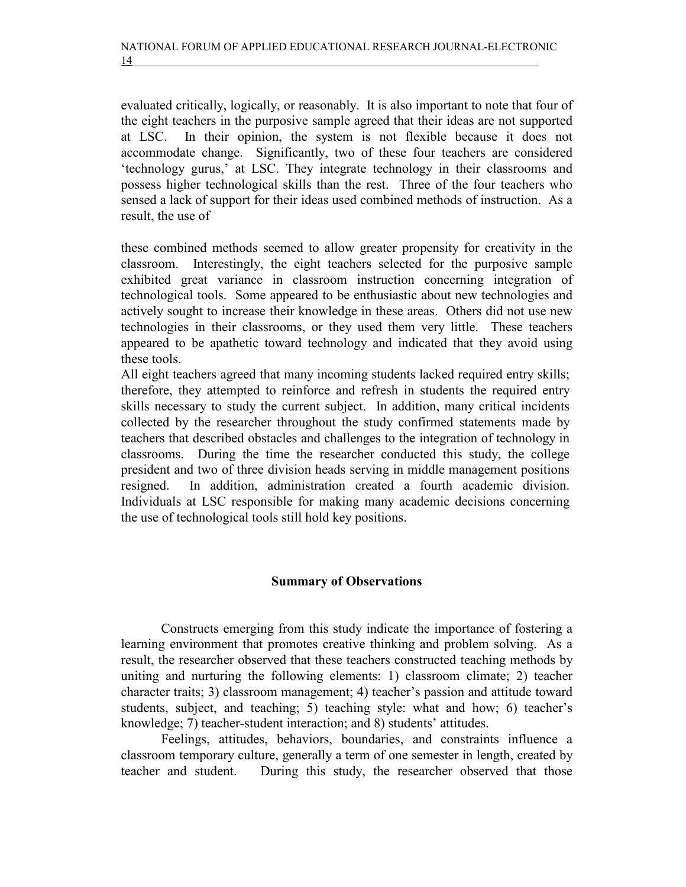evaluated critically, logically, or reasonably. It is also important to note that four of the eight teachers in the purposive sample agreed that their ideas are not supported at LSC. In their opinion, the system is not flexible because it does not accommodate change. Significantly, two of these four teachers are considered 'technology gurus,' at LSC. They integrate technology in their classrooms and possess higher technological skills than the rest. Three of the four teachers who sensed a lack of support for their ideas used combined methods of instruction. As a result, the use of

these combined methods seemed to allow greater propensity for creativity in the classroom. Interestingly, the eight teachers selected for the purposive sample exhibited great variance in classroom instruction concerning integration of technological tools. Some appeared to be enthusiastic about new technologies and actively sought to increase their knowledge in these areas. Others did not use new technologies in their classrooms, or they used them very little. These teachers appeared to be apathetic toward technology and indicated that they avoid using these tools.

All eight teachers agreed that many incoming students lacked required entry skills; therefore, they attempted to reinforce and refresh in students the required entry skills necessary to study the current subject. In addition, many critical incidents collected by the researcher throughout the study confirmed statements made by teachers that described obstacles and challenges to the integration of technology in classrooms. During the time the researcher conducted this study, the college president and two of three division heads serving in middle management positions resigned. In addition, administration created a fourth academic division. Individuals at LSC responsible for making many academic decisions concerning the use of technological tools still hold key positions.

# Summary of Observations

 Constructs emerging from this study indicate the importance of fostering a learning environment that promotes creative thinking and problem solving. As a result, the researcher observed that these teachers constructed teaching methods by uniting and nurturing the following elements: 1) classroom climate; 2) teacher character traits; 3) classroom management; 4) teacher's passion and attitude toward students, subject, and teaching; 5) teaching style: what and how; 6) teacher's knowledge; 7) teacher-student interaction; and 8) students' attitudes.

 Feelings, attitudes, behaviors, boundaries, and constraints influence a classroom temporary culture, generally a term of one semester in length, created by teacher and student. During this study, the researcher observed that those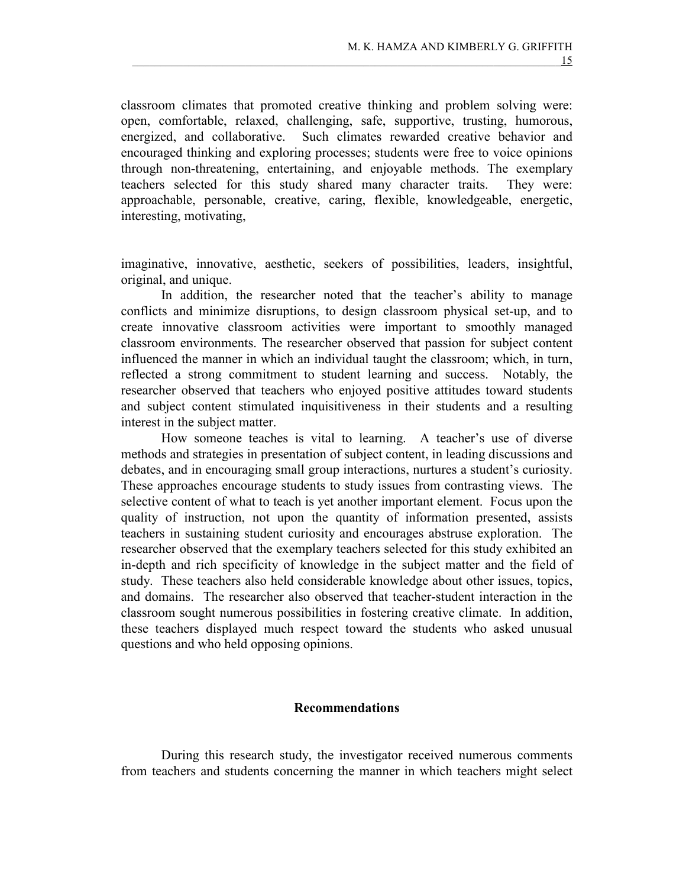classroom climates that promoted creative thinking and problem solving were: open, comfortable, relaxed, challenging, safe, supportive, trusting, humorous, energized, and collaborative. Such climates rewarded creative behavior and encouraged thinking and exploring processes; students were free to voice opinions through non-threatening, entertaining, and enjoyable methods. The exemplary teachers selected for this study shared many character traits. They were: approachable, personable, creative, caring, flexible, knowledgeable, energetic, interesting, motivating,

imaginative, innovative, aesthetic, seekers of possibilities, leaders, insightful, original, and unique.

 In addition, the researcher noted that the teacher's ability to manage conflicts and minimize disruptions, to design classroom physical set-up, and to create innovative classroom activities were important to smoothly managed classroom environments. The researcher observed that passion for subject content influenced the manner in which an individual taught the classroom; which, in turn, reflected a strong commitment to student learning and success. Notably, the researcher observed that teachers who enjoyed positive attitudes toward students and subject content stimulated inquisitiveness in their students and a resulting interest in the subject matter.

 How someone teaches is vital to learning. A teacher's use of diverse methods and strategies in presentation of subject content, in leading discussions and debates, and in encouraging small group interactions, nurtures a student's curiosity. These approaches encourage students to study issues from contrasting views. The selective content of what to teach is yet another important element. Focus upon the quality of instruction, not upon the quantity of information presented, assists teachers in sustaining student curiosity and encourages abstruse exploration. The researcher observed that the exemplary teachers selected for this study exhibited an in-depth and rich specificity of knowledge in the subject matter and the field of study. These teachers also held considerable knowledge about other issues, topics, and domains. The researcher also observed that teacher-student interaction in the classroom sought numerous possibilities in fostering creative climate. In addition, these teachers displayed much respect toward the students who asked unusual questions and who held opposing opinions.

### Recommendations

 During this research study, the investigator received numerous comments from teachers and students concerning the manner in which teachers might select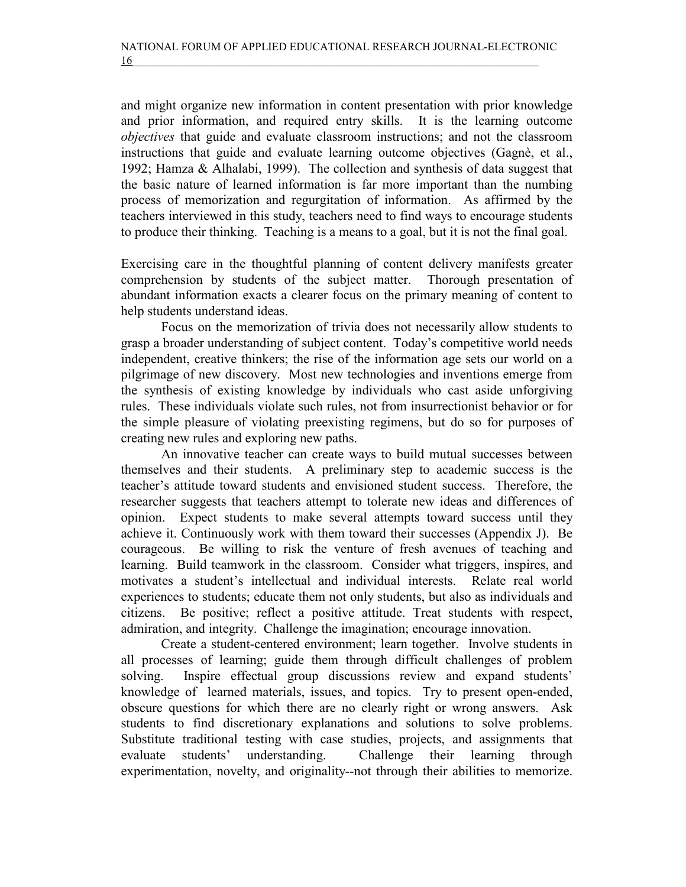and might organize new information in content presentation with prior knowledge and prior information, and required entry skills. It is the learning outcome objectives that guide and evaluate classroom instructions; and not the classroom instructions that guide and evaluate learning outcome objectives (Gagnè, et al., 1992; Hamza & Alhalabi, 1999). The collection and synthesis of data suggest that the basic nature of learned information is far more important than the numbing process of memorization and regurgitation of information. As affirmed by the teachers interviewed in this study, teachers need to find ways to encourage students to produce their thinking. Teaching is a means to a goal, but it is not the final goal.

Exercising care in the thoughtful planning of content delivery manifests greater comprehension by students of the subject matter. Thorough presentation of abundant information exacts a clearer focus on the primary meaning of content to help students understand ideas.

 Focus on the memorization of trivia does not necessarily allow students to grasp a broader understanding of subject content. Today's competitive world needs independent, creative thinkers; the rise of the information age sets our world on a pilgrimage of new discovery. Most new technologies and inventions emerge from the synthesis of existing knowledge by individuals who cast aside unforgiving rules. These individuals violate such rules, not from insurrectionist behavior or for the simple pleasure of violating preexisting regimens, but do so for purposes of creating new rules and exploring new paths.

 An innovative teacher can create ways to build mutual successes between themselves and their students. A preliminary step to academic success is the teacher's attitude toward students and envisioned student success. Therefore, the researcher suggests that teachers attempt to tolerate new ideas and differences of opinion. Expect students to make several attempts toward success until they achieve it. Continuously work with them toward their successes (Appendix J). Be courageous. Be willing to risk the venture of fresh avenues of teaching and learning. Build teamwork in the classroom. Consider what triggers, inspires, and motivates a student's intellectual and individual interests. Relate real world experiences to students; educate them not only students, but also as individuals and citizens. Be positive; reflect a positive attitude. Treat students with respect, admiration, and integrity. Challenge the imagination; encourage innovation.

 Create a student-centered environment; learn together. Involve students in all processes of learning; guide them through difficult challenges of problem solving. Inspire effectual group discussions review and expand students' knowledge of learned materials, issues, and topics. Try to present open-ended, obscure questions for which there are no clearly right or wrong answers. Ask students to find discretionary explanations and solutions to solve problems. Substitute traditional testing with case studies, projects, and assignments that evaluate students' understanding. Challenge their learning through experimentation, novelty, and originality--not through their abilities to memorize.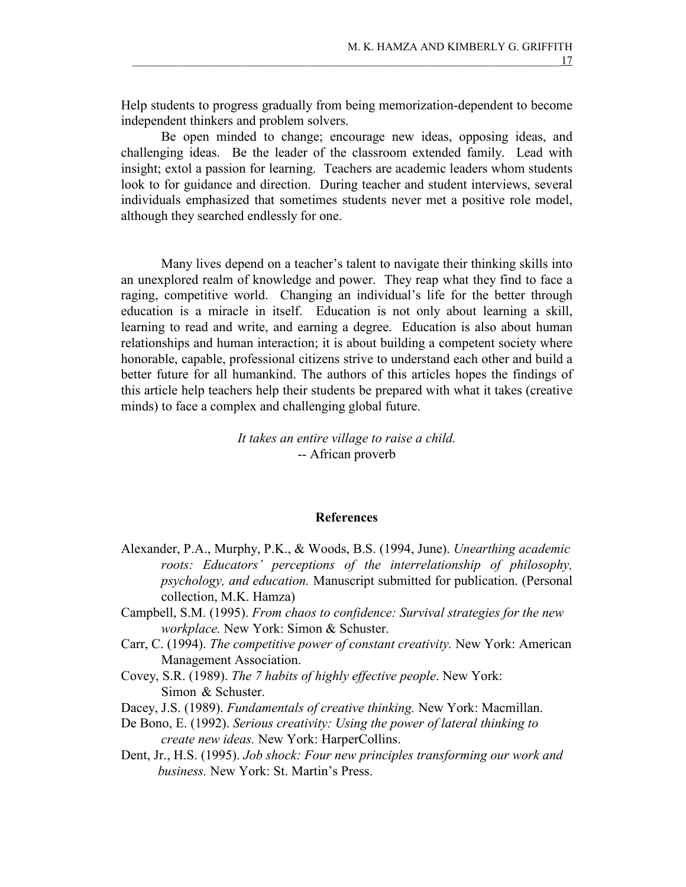Help students to progress gradually from being memorization-dependent to become independent thinkers and problem solvers.

 Be open minded to change; encourage new ideas, opposing ideas, and challenging ideas. Be the leader of the classroom extended family. Lead with insight; extol a passion for learning. Teachers are academic leaders whom students look to for guidance and direction. During teacher and student interviews, several individuals emphasized that sometimes students never met a positive role model, although they searched endlessly for one.

Many lives depend on a teacher's talent to navigate their thinking skills into an unexplored realm of knowledge and power. They reap what they find to face a raging, competitive world. Changing an individual's life for the better through education is a miracle in itself. Education is not only about learning a skill, learning to read and write, and earning a degree. Education is also about human relationships and human interaction; it is about building a competent society where honorable, capable, professional citizens strive to understand each other and build a better future for all humankind. The authors of this articles hopes the findings of this article help teachers help their students be prepared with what it takes (creative minds) to face a complex and challenging global future.

# It takes an entire village to raise a child. -- African proverb

# References

- Alexander, P.A., Murphy, P.K., & Woods, B.S. (1994, June). Unearthing academic roots: Educators' perceptions of the interrelationship of philosophy, psychology, and education. Manuscript submitted for publication. (Personal collection, M.K. Hamza)
- Campbell, S.M. (1995). From chaos to confidence: Survival strategies for the new workplace. New York: Simon & Schuster.
- Carr, C. (1994). The competitive power of constant creativity. New York: American Management Association.
- Covey, S.R. (1989). The 7 habits of highly effective people. New York: Simon & Schuster.
- Dacey, J.S. (1989). Fundamentals of creative thinking. New York: Macmillan.
- De Bono, E. (1992). Serious creativity: Using the power of lateral thinking to create new ideas. New York: HarperCollins.
- Dent, Jr., H.S. (1995). Job shock: Four new principles transforming our work and business. New York: St. Martin's Press.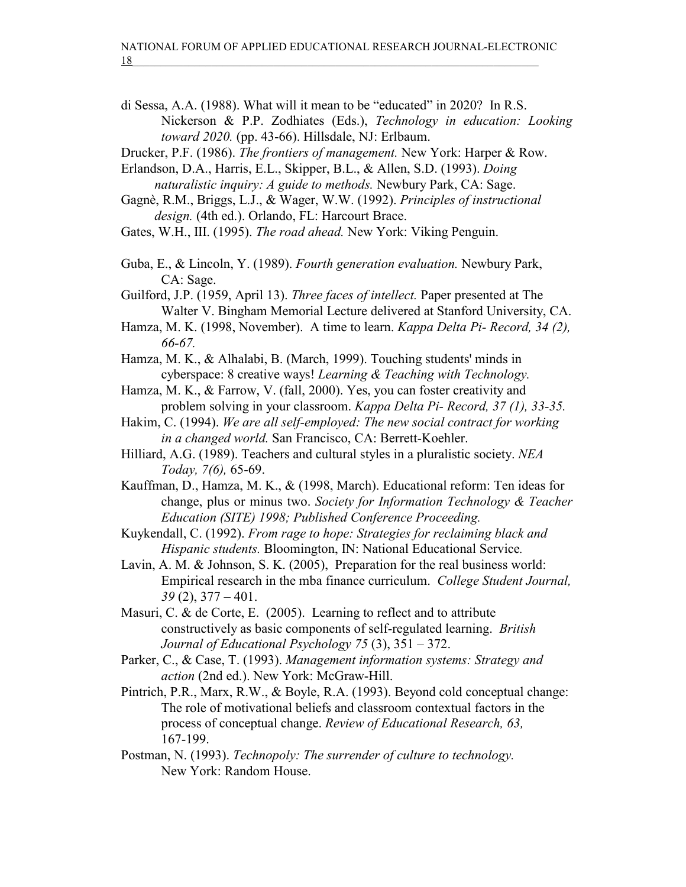- di Sessa, A.A. (1988). What will it mean to be "educated" in 2020? In R.S. Nickerson & P.P. Zodhiates (Eds.), Technology in education: Looking toward 2020. (pp. 43-66). Hillsdale, NJ: Erlbaum.
- Drucker, P.F. (1986). The frontiers of management. New York: Harper & Row.
- Erlandson, D.A., Harris, E.L., Skipper, B.L., & Allen, S.D. (1993). Doing naturalistic inquiry: A guide to methods. Newbury Park, CA: Sage.
- Gagnè, R.M., Briggs, L.J., & Wager, W.W. (1992). Principles of instructional design. (4th ed.). Orlando, FL: Harcourt Brace.
- Gates, W.H., III. (1995). The road ahead. New York: Viking Penguin.
- Guba, E., & Lincoln, Y. (1989). Fourth generation evaluation. Newbury Park, CA: Sage.
- Guilford, J.P. (1959, April 13). Three faces of intellect. Paper presented at The Walter V. Bingham Memorial Lecture delivered at Stanford University, CA.
- Hamza, M. K. (1998, November). A time to learn. Kappa Delta Pi- Record, 34 (2), 66-67.
- Hamza, M. K., & Alhalabi, B. (March, 1999). Touching students' minds in cyberspace: 8 creative ways! Learning & Teaching with Technology.
- Hamza, M. K., & Farrow, V. (fall, 2000). Yes, you can foster creativity and problem solving in your classroom. Kappa Delta Pi- Record, 37 (1), 33-35.
- Hakim, C. (1994). We are all self-employed: The new social contract for working in a changed world. San Francisco, CA: Berrett-Koehler.
- Hilliard, A.G. (1989). Teachers and cultural styles in a pluralistic society. NEA Today, 7(6), 65-69.
- Kauffman, D., Hamza, M. K., & (1998, March). Educational reform: Ten ideas for change, plus or minus two. Society for Information Technology & Teacher Education (SITE) 1998; Published Conference Proceeding.
- Kuykendall, C. (1992). From rage to hope: Strategies for reclaiming black and Hispanic students. Bloomington, IN: National Educational Service.
- Lavin, A. M. & Johnson, S. K. (2005), Preparation for the real business world: Empirical research in the mba finance curriculum. College Student Journal,  $39(2)$ ,  $377 - 401$ .
- Masuri, C. & de Corte, E. (2005). Learning to reflect and to attribute constructively as basic components of self-regulated learning. British Journal of Educational Psychology 75 (3), 351 – 372.
- Parker, C., & Case, T. (1993). Management information systems: Strategy and action (2nd ed.). New York: McGraw-Hill.
- Pintrich, P.R., Marx, R.W., & Boyle, R.A. (1993). Beyond cold conceptual change: The role of motivational beliefs and classroom contextual factors in the process of conceptual change. Review of Educational Research, 63, 167-199.
- Postman, N. (1993). Technopoly: The surrender of culture to technology. New York: Random House.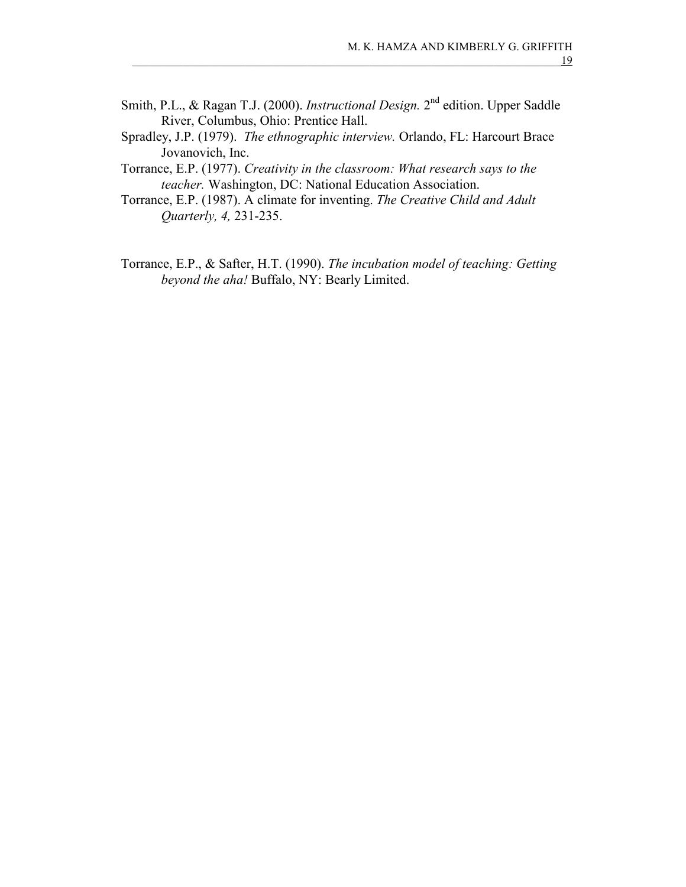- Smith, P.L., & Ragan T.J. (2000). *Instructional Design*. 2<sup>nd</sup> edition. Upper Saddle River, Columbus, Ohio: Prentice Hall.
- Spradley, J.P. (1979). The ethnographic interview. Orlando, FL: Harcourt Brace Jovanovich, Inc.
- Torrance, E.P. (1977). Creativity in the classroom: What research says to the teacher. Washington, DC: National Education Association.
- Torrance, E.P. (1987). A climate for inventing. The Creative Child and Adult Quarterly, 4, 231-235.
- Torrance, E.P., & Safter, H.T. (1990). The incubation model of teaching: Getting beyond the aha! Buffalo, NY: Bearly Limited.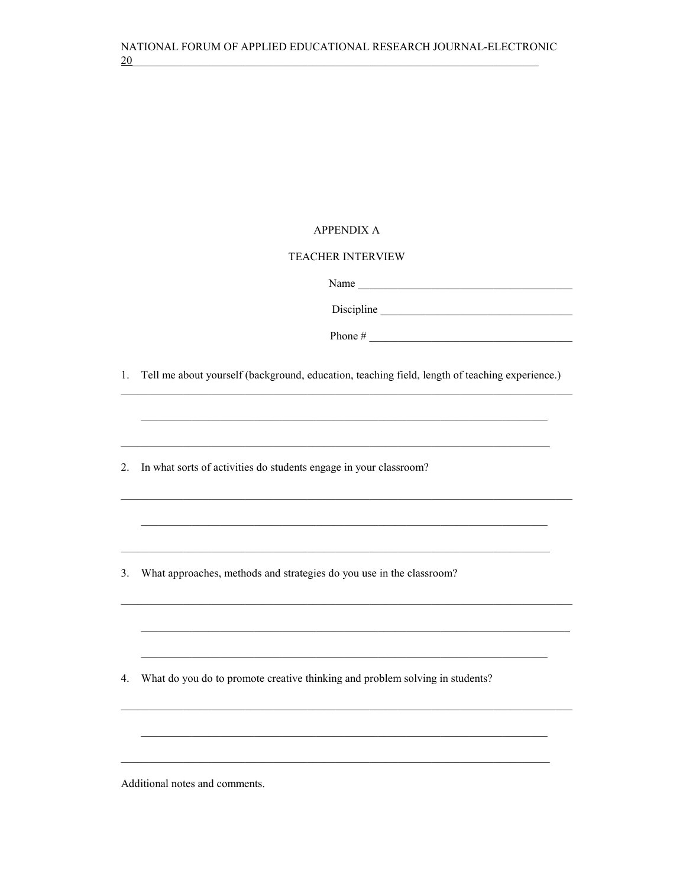### **APPENDIX A**

### **TEACHER INTERVIEW**

Name

Phone #  $\frac{1}{2}$   $\frac{1}{2}$   $\frac{1}{2}$   $\frac{1}{2}$   $\frac{1}{2}$   $\frac{1}{2}$   $\frac{1}{2}$   $\frac{1}{2}$   $\frac{1}{2}$   $\frac{1}{2}$   $\frac{1}{2}$   $\frac{1}{2}$   $\frac{1}{2}$   $\frac{1}{2}$   $\frac{1}{2}$   $\frac{1}{2}$   $\frac{1}{2}$   $\frac{1}{2}$   $\frac{1}{2}$   $\frac{1}{2}$   $\frac{1}{2}$   $\frac$ 

<u> 1989 - Johann Stoff, deutscher Stoffen und der Stoffen und der Stoffen und der Stoffen und der Stoffen und der</u>

<u> 1999 - Jan Jan Ja</u>

1. Tell me about yourself (background, education, teaching field, length of teaching experience.)

2. In what sorts of activities do students engage in your classroom?

3. What approaches, methods and strategies do you use in the classroom?

4. What do you do to promote creative thinking and problem solving in students?

Additional notes and comments.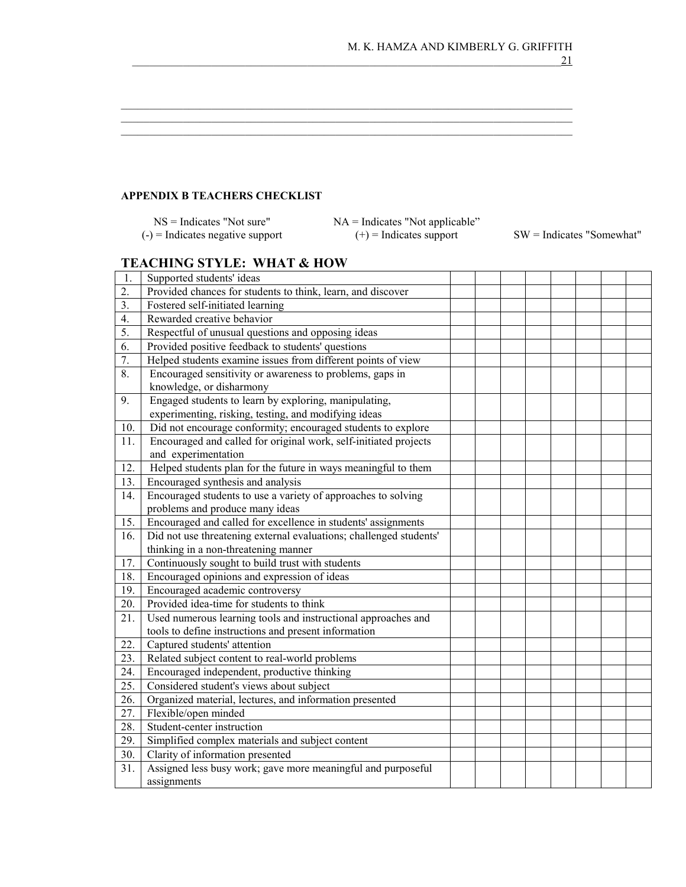### APPENDIX B TEACHERS CHECKLIST

 $NS = Indicates$  "Not sure"  $NA = Indicates$  "Not applicable"<br>  $= Indicates$  negative support  $(+) = Indicates$  support  $(-)$  = Indicates negative support  $(+)$  = Indicates support SW = Indicates "Somewhat"

\_\_\_\_\_\_\_\_\_\_\_\_\_\_\_\_\_\_\_\_\_\_\_\_\_\_\_\_\_\_\_\_\_\_\_\_\_\_\_\_\_\_\_\_\_\_\_\_\_\_\_\_\_\_\_\_\_\_\_\_\_\_\_\_\_\_\_\_\_\_\_\_\_\_\_\_\_\_\_\_  $\_$  , and the set of the set of the set of the set of the set of the set of the set of the set of the set of the set of the set of the set of the set of the set of the set of the set of the set of the set of the set of th  $\_$  , and the set of the set of the set of the set of the set of the set of the set of the set of the set of the set of the set of the set of the set of the set of the set of the set of the set of the set of the set of th

# TEACHING STYLE: WHAT & HOW

| 1.               | Supported students' ideas                                          |  |  |  |  |
|------------------|--------------------------------------------------------------------|--|--|--|--|
| $\overline{2}$ . | Provided chances for students to think, learn, and discover        |  |  |  |  |
| 3.               | Fostered self-initiated learning                                   |  |  |  |  |
| 4.               | Rewarded creative behavior                                         |  |  |  |  |
| $\overline{5}$ . | Respectful of unusual questions and opposing ideas                 |  |  |  |  |
| 6.               | Provided positive feedback to students' questions                  |  |  |  |  |
| $\overline{7}$ . | Helped students examine issues from different points of view       |  |  |  |  |
| 8.               | Encouraged sensitivity or awareness to problems, gaps in           |  |  |  |  |
|                  | knowledge, or disharmony                                           |  |  |  |  |
| 9.               | Engaged students to learn by exploring, manipulating,              |  |  |  |  |
|                  | experimenting, risking, testing, and modifying ideas               |  |  |  |  |
| 10.              | Did not encourage conformity; encouraged students to explore       |  |  |  |  |
| 11.              | Encouraged and called for original work, self-initiated projects   |  |  |  |  |
|                  | and experimentation                                                |  |  |  |  |
| 12.              | Helped students plan for the future in ways meaningful to them     |  |  |  |  |
| 13.              | Encouraged synthesis and analysis                                  |  |  |  |  |
| 14.              | Encouraged students to use a variety of approaches to solving      |  |  |  |  |
|                  | problems and produce many ideas                                    |  |  |  |  |
| 15.              | Encouraged and called for excellence in students' assignments      |  |  |  |  |
| 16.              | Did not use threatening external evaluations; challenged students' |  |  |  |  |
|                  | thinking in a non-threatening manner                               |  |  |  |  |
| 17.              | Continuously sought to build trust with students                   |  |  |  |  |
| 18.              | Encouraged opinions and expression of ideas                        |  |  |  |  |
| 19.              | Encouraged academic controversy                                    |  |  |  |  |
| 20.              | Provided idea-time for students to think                           |  |  |  |  |
| 21.              | Used numerous learning tools and instructional approaches and      |  |  |  |  |
|                  | tools to define instructions and present information               |  |  |  |  |
| 22.              | Captured students' attention                                       |  |  |  |  |
| 23.              | Related subject content to real-world problems                     |  |  |  |  |
| 24.              | Encouraged independent, productive thinking                        |  |  |  |  |
| 25.              | Considered student's views about subject                           |  |  |  |  |
| 26.              | Organized material, lectures, and information presented            |  |  |  |  |
| 27.              | Flexible/open minded                                               |  |  |  |  |
| 28.              | Student-center instruction                                         |  |  |  |  |
| 29.              | Simplified complex materials and subject content                   |  |  |  |  |
| 30.              | Clarity of information presented                                   |  |  |  |  |
| 31.              | Assigned less busy work; gave more meaningful and purposeful       |  |  |  |  |
|                  | assignments                                                        |  |  |  |  |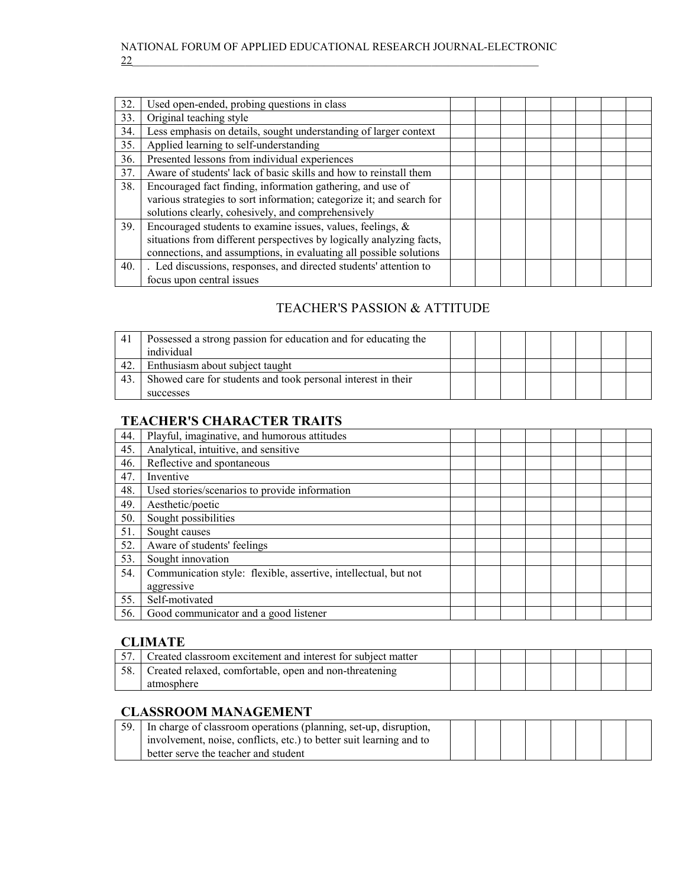| 32. | Used open-ended, probing questions in class                           |  |  |  |  |
|-----|-----------------------------------------------------------------------|--|--|--|--|
| 33. | Original teaching style                                               |  |  |  |  |
| 34. | Less emphasis on details, sought understanding of larger context      |  |  |  |  |
| 35. | Applied learning to self-understanding                                |  |  |  |  |
| 36. | Presented lessons from individual experiences                         |  |  |  |  |
| 37. | Aware of students' lack of basic skills and how to reinstall them     |  |  |  |  |
| 38. | Encouraged fact finding, information gathering, and use of            |  |  |  |  |
|     | various strategies to sort information; categorize it; and search for |  |  |  |  |
|     | solutions clearly, cohesively, and comprehensively                    |  |  |  |  |
| 39. | Encouraged students to examine issues, values, feelings, $\&$         |  |  |  |  |
|     | situations from different perspectives by logically analyzing facts,  |  |  |  |  |
|     | connections, and assumptions, in evaluating all possible solutions    |  |  |  |  |
| 40. | . Led discussions, responses, and directed students' attention to     |  |  |  |  |
|     | focus upon central issues                                             |  |  |  |  |

# TEACHER'S PASSION & ATTITUDE

| 41  | Possessed a strong passion for education and for educating the<br>individual |  |  |  |  |
|-----|------------------------------------------------------------------------------|--|--|--|--|
| 42. | Enthusiasm about subject taught                                              |  |  |  |  |
| 43. | Showed care for students and took personal interest in their                 |  |  |  |  |
|     | successes                                                                    |  |  |  |  |

# TEACHER'S CHARACTER TRAITS

| 44. | Playful, imaginative, and humorous attitudes                    |  |  |  |  |
|-----|-----------------------------------------------------------------|--|--|--|--|
| 45. | Analytical, intuitive, and sensitive                            |  |  |  |  |
| 46. | Reflective and spontaneous                                      |  |  |  |  |
| 47. | Inventive                                                       |  |  |  |  |
| 48. | Used stories/scenarios to provide information                   |  |  |  |  |
| 49. | Aesthetic/poetic                                                |  |  |  |  |
| 50. | Sought possibilities                                            |  |  |  |  |
| 51. | Sought causes                                                   |  |  |  |  |
| 52. | Aware of students' feelings                                     |  |  |  |  |
| 53. | Sought innovation                                               |  |  |  |  |
| 54. | Communication style: flexible, assertive, intellectual, but not |  |  |  |  |
|     | aggressive                                                      |  |  |  |  |
| 55. | Self-motivated                                                  |  |  |  |  |
| 56. | Good communicator and a good listener                           |  |  |  |  |

# CLIMATE

|    | Created classroom excitement and interest for subject matter |  |  |  |  |
|----|--------------------------------------------------------------|--|--|--|--|
| 50 | Created relaxed, comfortable, open and non-threatening       |  |  |  |  |
|    | atmosphere                                                   |  |  |  |  |

# CLASSROOM MANAGEMENT

| 59. In charge of classroom operations (planning, set-up, disruption, |  |  |  |  |
|----------------------------------------------------------------------|--|--|--|--|
| involvement, noise, conflicts, etc.) to better suit learning and to  |  |  |  |  |
| better serve the teacher and student                                 |  |  |  |  |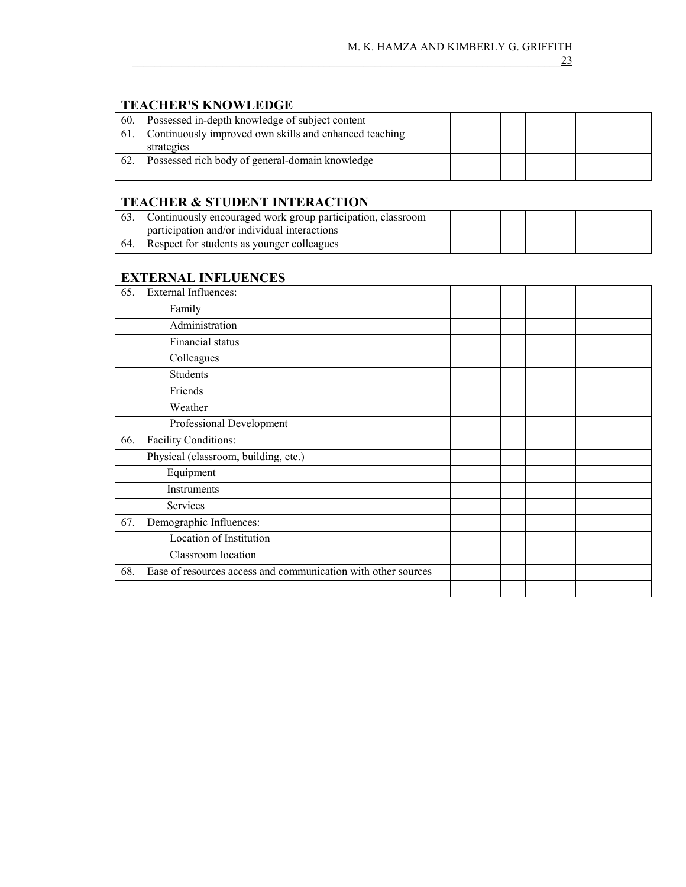# TEACHER'S KNOWLEDGE

| 60. | Possessed in-depth knowledge of subject content        |  |  |  |  |
|-----|--------------------------------------------------------|--|--|--|--|
| 61. | Continuously improved own skills and enhanced teaching |  |  |  |  |
|     | strategies                                             |  |  |  |  |
| 62. | Possessed rich body of general-domain knowledge        |  |  |  |  |
|     |                                                        |  |  |  |  |

# TEACHER & STUDENT INTERACTION

|      | Continuously encouraged work group participation, classroom<br>participation and/or individual interactions |  |  |  |  |
|------|-------------------------------------------------------------------------------------------------------------|--|--|--|--|
| -64. | Respect for students as younger colleagues                                                                  |  |  |  |  |

# EXTERNAL INFLUENCES

| 65. | <b>External Influences:</b>                                   |  |  |  |  |
|-----|---------------------------------------------------------------|--|--|--|--|
|     | Family                                                        |  |  |  |  |
|     | Administration                                                |  |  |  |  |
|     | Financial status                                              |  |  |  |  |
|     | Colleagues                                                    |  |  |  |  |
|     | Students                                                      |  |  |  |  |
|     | Friends                                                       |  |  |  |  |
|     | Weather                                                       |  |  |  |  |
|     | Professional Development                                      |  |  |  |  |
| 66. | <b>Facility Conditions:</b>                                   |  |  |  |  |
|     | Physical (classroom, building, etc.)                          |  |  |  |  |
|     | Equipment                                                     |  |  |  |  |
|     | Instruments                                                   |  |  |  |  |
|     | Services                                                      |  |  |  |  |
| 67. | Demographic Influences:                                       |  |  |  |  |
|     | Location of Institution                                       |  |  |  |  |
|     | Classroom location                                            |  |  |  |  |
| 68. | Ease of resources access and communication with other sources |  |  |  |  |
|     |                                                               |  |  |  |  |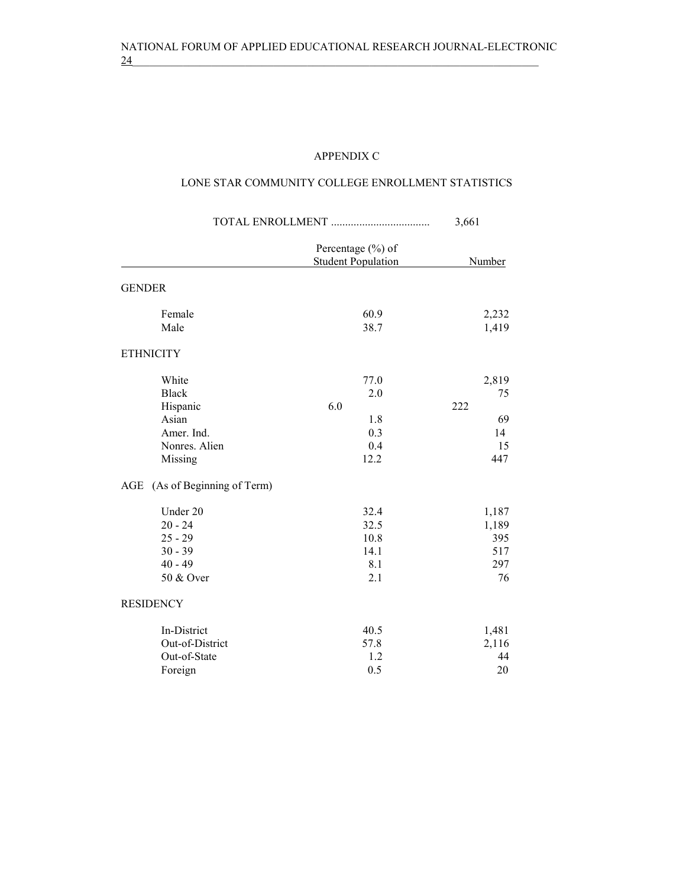# APPENDIX C

# LONE STAR COMMUNITY COLLEGE ENROLLMENT STATISTICS

|                                                                                      |                                                 | 3,661                                       |
|--------------------------------------------------------------------------------------|-------------------------------------------------|---------------------------------------------|
|                                                                                      | Percentage (%) of<br><b>Student Population</b>  | <b>Number</b>                               |
| <b>GENDER</b>                                                                        |                                                 |                                             |
| Female<br>Male                                                                       | 60.9<br>38.7                                    | 2,232<br>1,419                              |
| <b>ETHNICITY</b>                                                                     |                                                 |                                             |
| White<br><b>Black</b><br>Hispanic<br>Asian<br>Amer. Ind.<br>Nonres. Alien<br>Missing | 77.0<br>2.0<br>6.0<br>1.8<br>0.3<br>0.4<br>12.2 | 2,819<br>75<br>222<br>69<br>14<br>15<br>447 |
| (As of Beginning of Term)<br>AGE                                                     |                                                 |                                             |
| Under 20<br>$20 - 24$<br>$25 - 29$<br>$30 - 39$<br>$40 - 49$<br>50 & Over            | 32.4<br>32.5<br>10.8<br>14.1<br>8.1<br>2.1      | 1,187<br>1,189<br>395<br>517<br>297<br>76   |
| <b>RESIDENCY</b>                                                                     |                                                 |                                             |
| In-District<br>Out-of-District<br>Out-of-State<br>Foreign                            | 40.5<br>57.8<br>1.2<br>0.5                      | 1,481<br>2,116<br>44<br>20                  |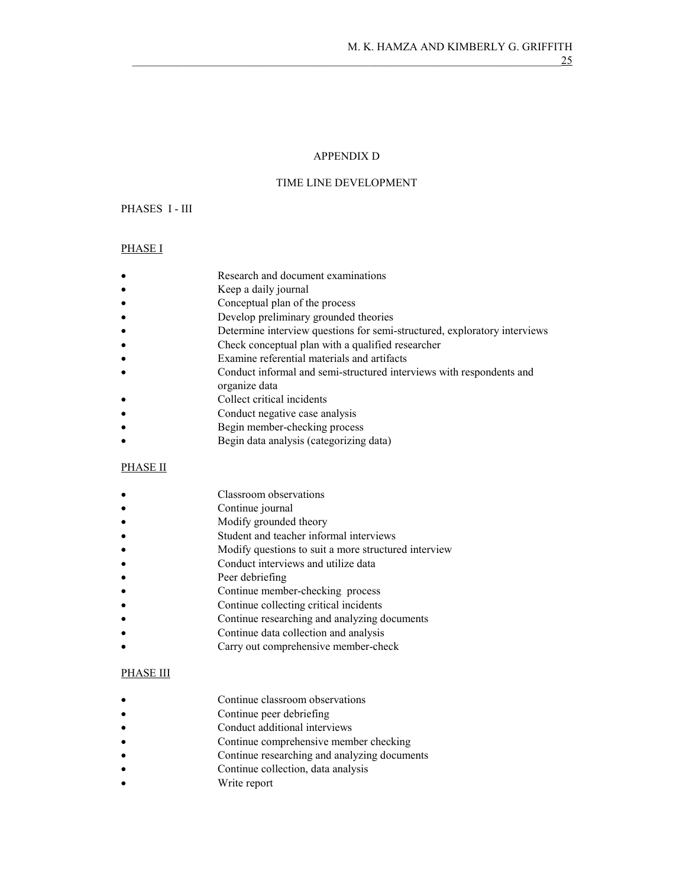#### APPENDIX D

#### TIME LINE DEVELOPMENT

### PHASES I - III

### PHASE I

- Research and document examinations
- Keep a daily journal
- Conceptual plan of the process
- Develop preliminary grounded theories
- Determine interview questions for semi-structured, exploratory interviews
- Check conceptual plan with a qualified researcher
- Examine referential materials and artifacts
- Conduct informal and semi-structured interviews with respondents and
- organize data
- Collect critical incidents
- Conduct negative case analysis
- Begin member-checking process
- Begin data analysis (categorizing data)

### PHASE II

- Classroom observations
- Continue journal
- Modify grounded theory
- Student and teacher informal interviews
- Modify questions to suit a more structured interview
- Conduct interviews and utilize data
- Peer debriefing
- Continue member-checking process
- Continue collecting critical incidents
- Continue researching and analyzing documents
- Continue data collection and analysis
- Carry out comprehensive member-check

# PHASE III

- Continue classroom observations
- Continue peer debriefing
- Conduct additional interviews
- Continue comprehensive member checking
- Continue researching and analyzing documents
- Continue collection, data analysis
- Write report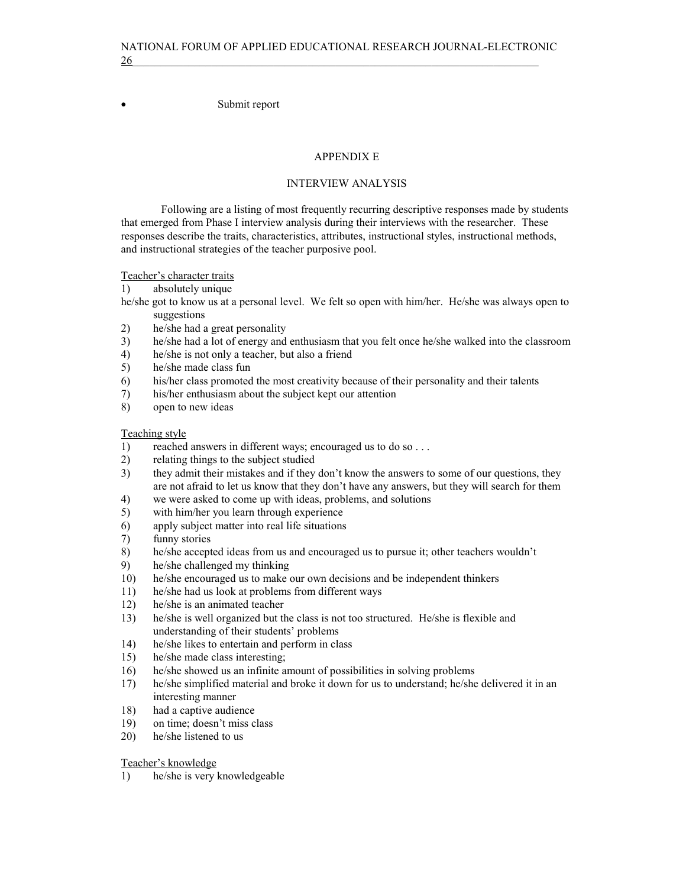• Submit report

### APPENDIX E

#### INTERVIEW ANALYSIS

 Following are a listing of most frequently recurring descriptive responses made by students that emerged from Phase I interview analysis during their interviews with the researcher. These responses describe the traits, characteristics, attributes, instructional styles, instructional methods, and instructional strategies of the teacher purposive pool.

Teacher's character traits

- 1) absolutely unique
- he/she got to know us at a personal level. We felt so open with him/her. He/she was always open to suggestions
- 2) he/she had a great personality
- 3) he/she had a lot of energy and enthusiasm that you felt once he/she walked into the classroom
- 4) he/she is not only a teacher, but also a friend
- 5) he/she made class fun
- 6) his/her class promoted the most creativity because of their personality and their talents
- 7) his/her enthusiasm about the subject kept our attention
- 8) open to new ideas

Teaching style

- 1) reached answers in different ways; encouraged us to do so . . .
- 2) relating things to the subject studied
- 3) they admit their mistakes and if they don't know the answers to some of our questions, they are not afraid to let us know that they don't have any answers, but they will search for them
- 4) we were asked to come up with ideas, problems, and solutions
- 5) with him/her you learn through experience
- 6) apply subject matter into real life situations
- 7) funny stories
- 8) he/she accepted ideas from us and encouraged us to pursue it; other teachers wouldn't
- 9) he/she challenged my thinking
- 10) he/she encouraged us to make our own decisions and be independent thinkers
- 11) he/she had us look at problems from different ways
- 12) he/she is an animated teacher
- 13) he/she is well organized but the class is not too structured. He/she is flexible and understanding of their students' problems
- 14) he/she likes to entertain and perform in class
- 15) he/she made class interesting;
- 16) he/she showed us an infinite amount of possibilities in solving problems
- 17) he/she simplified material and broke it down for us to understand; he/she delivered it in an interesting manner
- 18) had a captive audience
- 19) on time; doesn't miss class
- 20) he/she listened to us

Teacher's knowledge

1) he/she is very knowledgeable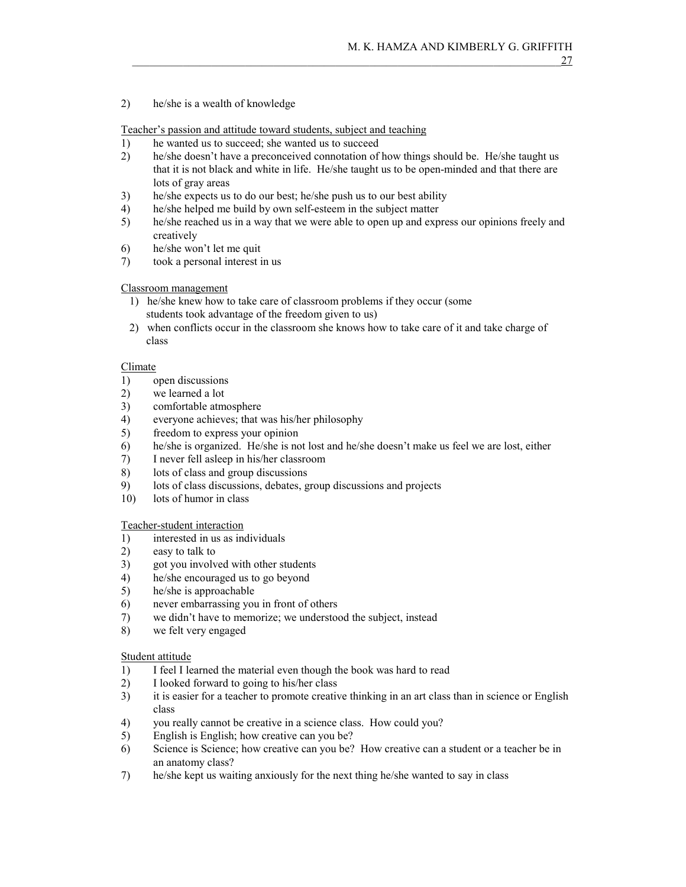### 2) he/she is a wealth of knowledge

Teacher's passion and attitude toward students, subject and teaching

- 1) he wanted us to succeed; she wanted us to succeed
- 2) he/she doesn't have a preconceived connotation of how things should be. He/she taught us that it is not black and white in life. He/she taught us to be open-minded and that there are lots of gray areas
- 3) he/she expects us to do our best; he/she push us to our best ability
- 4) he/she helped me build by own self-esteem in the subject matter
- 5) he/she reached us in a way that we were able to open up and express our opinions freely and creatively
- 6) he/she won't let me quit
- 7) took a personal interest in us

### Classroom management

- 1) he/she knew how to take care of classroom problems if they occur (some students took advantage of the freedom given to us)
- 2) when conflicts occur in the classroom she knows how to take care of it and take charge of class

#### Climate

- 1) open discussions
- 2) we learned a lot
- 3) comfortable atmosphere
- 4) everyone achieves; that was his/her philosophy
- 5) freedom to express your opinion
- 6) he/she is organized. He/she is not lost and he/she doesn't make us feel we are lost, either
- 7) I never fell asleep in his/her classroom
- 8) lots of class and group discussions
- 9) lots of class discussions, debates, group discussions and projects
- 10) lots of humor in class

#### Teacher-student interaction

- 1) interested in us as individuals
- 2) easy to talk to
- 3) got you involved with other students
- 4) he/she encouraged us to go beyond
- 5) he/she is approachable
- 6) never embarrassing you in front of others
- 7) we didn't have to memorize; we understood the subject, instead
- 8) we felt very engaged

#### Student attitude

- 1) I feel I learned the material even though the book was hard to read
- 2) I looked forward to going to his/her class
- 3) it is easier for a teacher to promote creative thinking in an art class than in science or English class
- 4) you really cannot be creative in a science class. How could you?
- 5) English is English; how creative can you be?
- 6) Science is Science; how creative can you be? How creative can a student or a teacher be in an anatomy class?
- 7) he/she kept us waiting anxiously for the next thing he/she wanted to say in class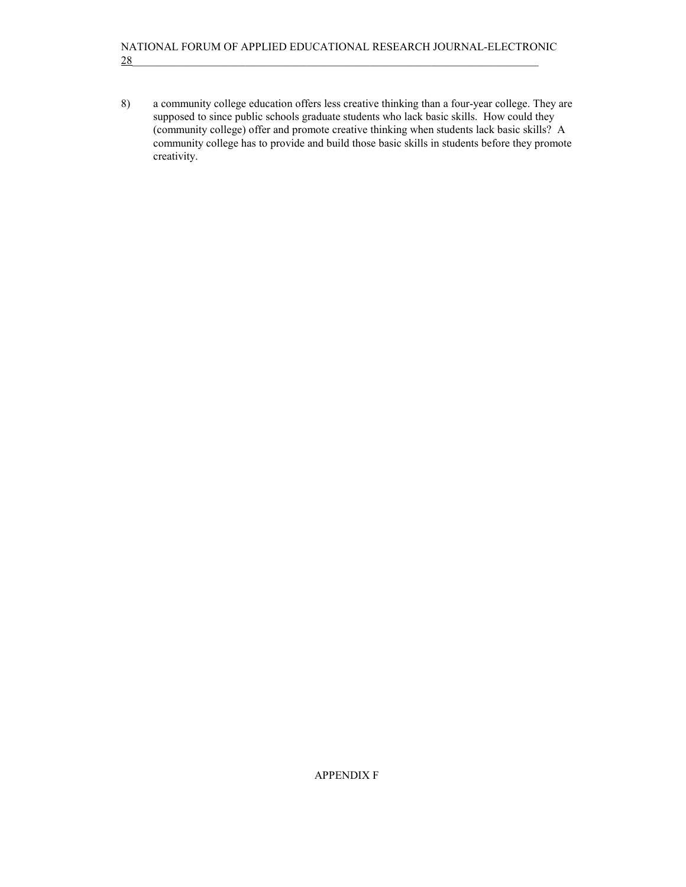### NATIONAL FORUM OF APPLIED EDUCATIONAL RESEARCH JOURNAL-ELECTRONIC 28  $\overline{\phantom{a}}$

8) a community college education offers less creative thinking than a four-year college. They are supposed to since public schools graduate students who lack basic skills. How could they (community college) offer and promote creative thinking when students lack basic skills? A community college has to provide and build those basic skills in students before they promote creativity.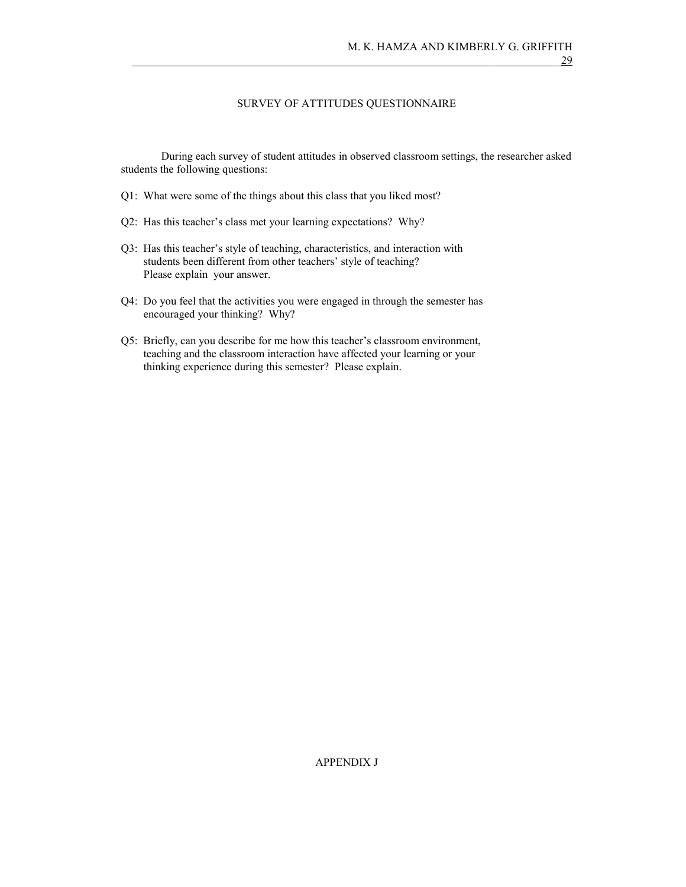#### SURVEY OF ATTITUDES QUESTIONNAIRE

 During each survey of student attitudes in observed classroom settings, the researcher asked students the following questions:

- Q1: What were some of the things about this class that you liked most?
- Q2: Has this teacher's class met your learning expectations? Why?
- Q3: Has this teacher's style of teaching, characteristics, and interaction with students been different from other teachers' style of teaching? Please explain your answer.
- Q4: Do you feel that the activities you were engaged in through the semester has encouraged your thinking? Why?
- Q5: Briefly, can you describe for me how this teacher's classroom environment, teaching and the classroom interaction have affected your learning or your thinking experience during this semester? Please explain.